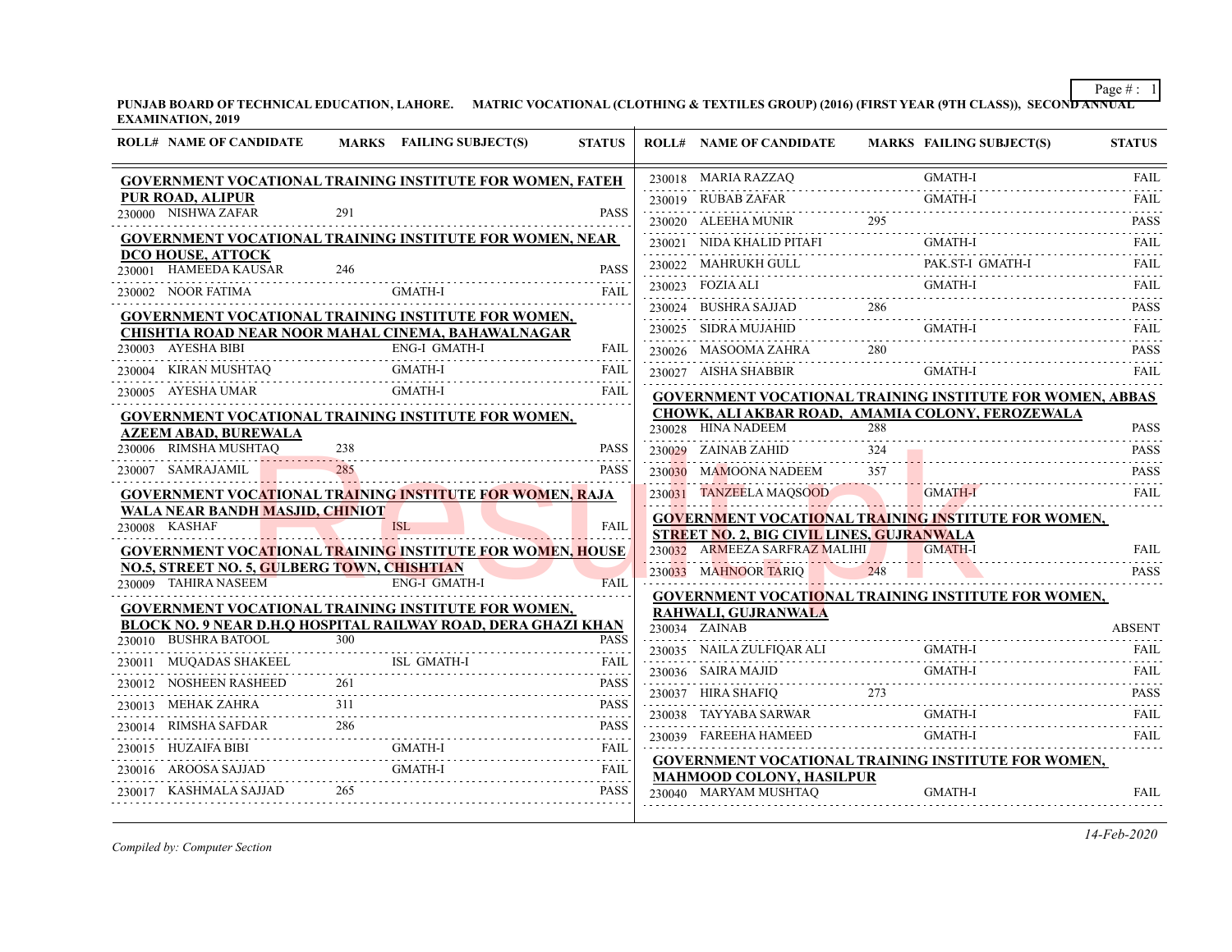**PUNJAB BOARD OF TECHNICAL EDUCATION, LAHORE. MATRIC VOCATIONAL (CLOTHING & TEXTILES GROUP) (2016) (FIRST YEAR (9TH CLASS)), SECOND ANNUAL EXAMINATION, 2019**

|        | <b>ROLL# NAME OF CANDIDATE</b>                                      |     | MARKS FAILING SUBJECT(S)                                                                                                    | <b>STATUS</b>                                                                                                                                       | <b>ROLL# NAME OF CANDIDATE</b>                   |                 | <b>MARKS FAILING SUBJECT(S)</b>                                  | <b>STATUS</b>            |
|--------|---------------------------------------------------------------------|-----|-----------------------------------------------------------------------------------------------------------------------------|-----------------------------------------------------------------------------------------------------------------------------------------------------|--------------------------------------------------|-----------------|------------------------------------------------------------------|--------------------------|
|        |                                                                     |     | <b>GOVERNMENT VOCATIONAL TRAINING INSTITUTE FOR WOMEN, FATEH</b>                                                            |                                                                                                                                                     | 230018 MARIA RAZZAQ                              |                 | <b>GMATH-I</b>                                                   | <b>FAIL</b>              |
|        | <b>PUR ROAD, ALIPUR</b>                                             |     |                                                                                                                             |                                                                                                                                                     | 230019 RUBAB ZAFAR                               |                 | <b>GMATH-I</b>                                                   | FAIL                     |
|        | 230000 NISHWA ZAFAR                                                 | 291 |                                                                                                                             | <b>PASS</b>                                                                                                                                         | 230020 ALEEHA MUNIR                              | 295             |                                                                  | <b>PASS</b>              |
|        |                                                                     |     | <b>GOVERNMENT VOCATIONAL TRAINING INSTITUTE FOR WOMEN, NEAR</b>                                                             |                                                                                                                                                     | 230021 NIDA KHALID PITAFI                        |                 | <b>GMATH-I</b>                                                   | FAIL                     |
| 230001 | DCO HOUSE, ATTOCK<br>HAMEEDA KAUSAR                                 | 246 |                                                                                                                             | <b>PASS</b>                                                                                                                                         | 230022 MAHRUKH GULL                              |                 | PAK.ST-I GMATH-I                                                 | <b>FAIL</b>              |
|        | 230002 NOOR FATIMA                                                  |     | <b>GMATH-I</b>                                                                                                              | .<br>FAIL                                                                                                                                           | 230023 FOZIA ALI                                 |                 | GMATH-I                                                          | <b>FAIL</b><br>.         |
|        |                                                                     |     | <b>GOVERNMENT VOCATIONAL TRAINING INSTITUTE FOR WOMEN,</b>                                                                  |                                                                                                                                                     | 230024 BUSHRA SAJJAD                             |                 |                                                                  | <b>PASS</b><br>.         |
|        |                                                                     |     | CHISHTIA ROAD NEAR NOOR MAHAL CINEMA, BAHAWALNAGAR                                                                          |                                                                                                                                                     | 230025 SIDRA MUJAHID                             |                 | <b>GMATH-I</b>                                                   | <b>FAIL</b>              |
|        | 230003 AYESHA BIBI                                                  |     | <b>ENG-I GMATH-I</b>                                                                                                        | FAIL                                                                                                                                                | 230026 MASOOMA ZAHRA                             | 280             |                                                                  | <b>PASS</b>              |
|        | 230004 KIRAN MUSHTAQ                                                |     | <b>GMATH-I</b>                                                                                                              | FAIL                                                                                                                                                | 230027 AISHA SHABBIR                             |                 | <b>GMATH-I</b>                                                   | FAIL                     |
|        | 230005 AYESHA UMAR                                                  |     | <b>GMATH-I</b>                                                                                                              | <b>FAIL</b>                                                                                                                                         |                                                  |                 | <b>GOVERNMENT VOCATIONAL TRAINING INSTITUTE FOR WOMEN, ABBAS</b> |                          |
|        |                                                                     |     | <b>GOVERNMENT VOCATIONAL TRAINING INSTITUTE FOR WOMEN,</b>                                                                  |                                                                                                                                                     |                                                  |                 | CHOWK, ALI AKBAR ROAD, AMAMIA COLONY, FEROZEWALA                 |                          |
|        | <b>AZEEM ABAD, BUREWALA</b>                                         |     |                                                                                                                             |                                                                                                                                                     | 230028 HINA NADEEM                               | 288             |                                                                  | <b>PASS</b>              |
|        | 230006 RIMSHA MUSHTAQ                                               | 238 |                                                                                                                             | <b>PASS</b>                                                                                                                                         | 230029 ZAINAB ZAHID                              | 324<br><u>.</u> |                                                                  | <b>PASS</b>              |
|        | 230007 SAMRAJAMIL                                                   |     |                                                                                                                             | <b>PASS</b>                                                                                                                                         | 230030 MAMOONA NADEEM                            | 357             |                                                                  | <b>PASS</b><br>.         |
|        |                                                                     |     | GOVERNMENT VOCATIONAL TRAINING INSTITUTE FOR WOMEN, RAJA                                                                    |                                                                                                                                                     | 230031 TANZEELA MAQSOOD                          |                 | <b>GMATH-I</b>                                                   | FAIL                     |
|        | <b>WALA NEAR BANDH MASJID, CHINIOT</b>                              |     |                                                                                                                             |                                                                                                                                                     |                                                  |                 | <b>GOVERNMENT VOCATIONAL TRAINING INSTITUTE FOR WOMEN,</b>       |                          |
|        | 230008 KASHAF                                                       |     | <b>ISL</b>                                                                                                                  | <b>FAIL</b>                                                                                                                                         | <b>STREET NO. 2, BIG CIVIL LINES, GUJRANWALA</b> |                 |                                                                  |                          |
|        |                                                                     |     | <b>GOVERNMENT VOCATIONAL TRAINING INSTITUTE FOR WOMEN, HOUSE</b>                                                            |                                                                                                                                                     | 230032 ARMEEZA SARFRAZ MALIHI                    |                 | <b>GMATH-I</b>                                                   | <b>FAIL</b>              |
|        | NO.5, STREET NO. 5, GULBERG TOWN, CHISHTIAN<br>230009 TAHIRA NASEEM |     | <b>ENG-I GMATH-I</b>                                                                                                        | <b>FAIL</b>                                                                                                                                         | 230033 MAHNOOR TARIQ                             | 248             |                                                                  | <b>PASS</b>              |
|        |                                                                     |     |                                                                                                                             |                                                                                                                                                     |                                                  |                 | GOVERNMENT VOCATIONAL TRAINING INSTITUTE FOR WOMEN,              |                          |
|        |                                                                     |     | <b>GOVERNMENT VOCATIONAL TRAINING INSTITUTE FOR WOMEN,</b><br>BLOCK NO. 9 NEAR D.H.Q HOSPITAL RAILWAY ROAD, DERA GHAZI KHAN |                                                                                                                                                     | RAHWALI, GUJRANWALA                              |                 |                                                                  |                          |
|        | 230010 BUSHRA BATOOL                                                | 300 |                                                                                                                             | <b>PASS</b>                                                                                                                                         | 230034 ZAINAB                                    |                 |                                                                  | <b>ABSENT</b>            |
|        | MUQADAS SHAKEEL                                                     |     | ISL GMATH-I                                                                                                                 | $\mathcal{L}^{\mathcal{A}}\left( \mathcal{A}^{\mathcal{A}}\right) =\mathcal{L}^{\mathcal{A}}\left( \mathcal{A}^{\mathcal{A}}\right)$<br><b>FAIL</b> | 230035 NAILA ZULFIQAR ALI                        |                 | GMATH-I                                                          | <b>FAIL</b>              |
| 230012 | NOSHEEN RASHEED                                                     |     |                                                                                                                             | <b>PASS</b>                                                                                                                                         | 230036 SAIRA MAJID                               |                 | <b>GMATH-I</b>                                                   | <b>FAIL</b><br>1.1.1.1.1 |
|        | 230013 MEHAK ZAHRA                                                  | 311 |                                                                                                                             | .<br><b>PASS</b>                                                                                                                                    | 230037 HIRA SHAFIQ                               | 273             |                                                                  | <b>PASS</b><br>.         |
|        |                                                                     |     |                                                                                                                             |                                                                                                                                                     | 230038 TAYYABA SARWAR                            |                 | <b>GMATH-I</b>                                                   | FAIL                     |
|        | 230014 RIMSHA SAFDAR                                                | 286 | <b>GMATH-I</b>                                                                                                              | <b>PASS</b>                                                                                                                                         | 230039 FAREEHA HAMEED                            |                 | <b>GMATH-I</b>                                                   | FAIL                     |
|        | 230015 HUZAIFA BIBI                                                 |     |                                                                                                                             |                                                                                                                                                     |                                                  |                 | <b>GOVERNMENT VOCATIONAL TRAINING INSTITUTE FOR WOMEN,</b>       |                          |
|        | 230016 AROOSA SAJJAD                                                |     | GMATH-I                                                                                                                     | FAIL                                                                                                                                                | <b>MAHMOOD COLONY, HASILPUR</b>                  |                 |                                                                  |                          |
|        | 230017 KASHMALA SAJJAD                                              | 265 |                                                                                                                             | <b>PASS</b>                                                                                                                                         | 230040 MARYAM MUSHTAO                            |                 | <b>GMATH-I</b>                                                   | <b>FAIL</b>              |

*Compiled by: Computer Section*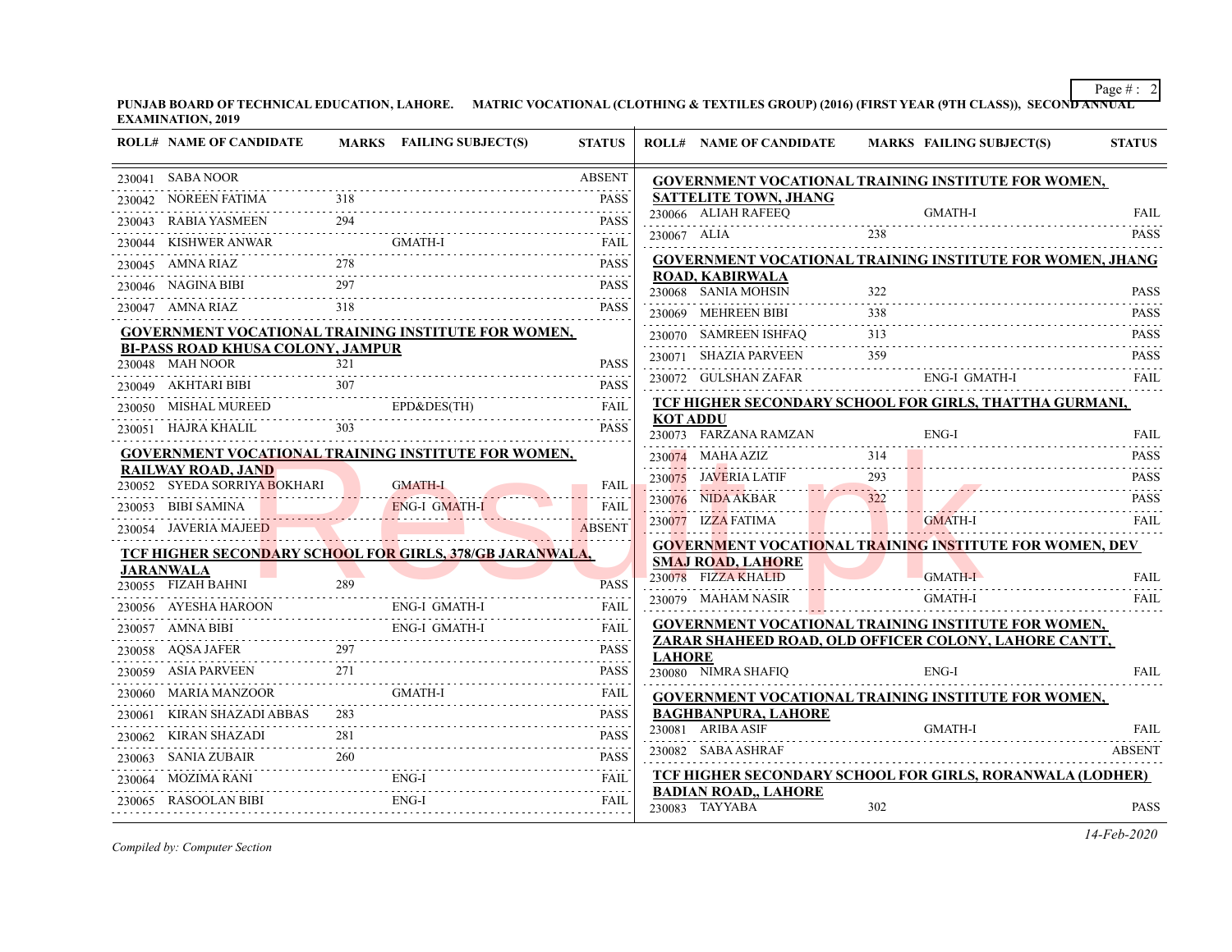**PUNJAB BOARD OF TECHNICAL EDUCATION, LAHORE. MATRIC VOCATIONAL (CLOTHING & TEXTILES GROUP) (2016) (FIRST YEAR (9TH CLASS)), SECOND ANNUAL EXAMINATION, 2019**

|        | <b>ROLL# NAME OF CANDIDATE</b>                              |     | <b>MARKS</b> FAILING SUBJECT(S)                                  | <b>STATUS</b>             |                 | <b>ROLL# NAME OF CANDIDATE</b>                  |                               | MARKS FAILING SUBJECT(S)                                         | <b>STATUS</b> |
|--------|-------------------------------------------------------------|-----|------------------------------------------------------------------|---------------------------|-----------------|-------------------------------------------------|-------------------------------|------------------------------------------------------------------|---------------|
|        | 230041 SABA NOOR                                            |     |                                                                  | <b>ABSENT</b>             |                 |                                                 |                               | GOVERNMENT VOCATIONAL TRAINING INSTITUTE FOR WOMEN,              |               |
|        | 230042 NOREEN FATIMA                                        |     |                                                                  | <b>PASS</b>               |                 | <b>SATTELITE TOWN, JHANG</b>                    |                               |                                                                  |               |
|        | 230043 RABIA YASMEEN                                        | 294 |                                                                  | <b>PASS</b>               |                 | 230066 ALIAH RAFEEO                             |                               | GMATH-I                                                          | <b>FAIL</b>   |
|        |                                                             |     | 230044 KISHWER ANWAR GMATH-I FAIL FAIL                           |                           |                 | 230067 ALIA                                     | 238                           |                                                                  | <b>PASS</b>   |
|        | 230045 AMNA RIAZ                                            |     | $\overline{AZ}$ 278 PASS                                         |                           |                 |                                                 |                               | <b>GOVERNMENT VOCATIONAL TRAINING INSTITUTE FOR WOMEN, JHANG</b> |               |
|        |                                                             |     | 230046 NAGINA BIBI 297 PASS                                      | <b>PASS</b>               |                 | <b>ROAD, KABIRWALA</b><br>230068 SANIA MOHSIN   | 322                           |                                                                  | <b>PASS</b>   |
|        | 230047 AMNA RIAZ 318                                        |     |                                                                  | <b>PASS</b>               |                 | 230069 MEHREEN BIBI                             | 338                           |                                                                  | <b>PASS</b>   |
|        |                                                             |     | <b>GOVERNMENT VOCATIONAL TRAINING INSTITUTE FOR WOMEN,</b>       |                           |                 | 230070 SAMREEN ISHFAQ                           | 313                           |                                                                  | <b>PASS</b>   |
|        | <b>BI-PASS ROAD KHUSA COLONY, JAMPUR</b><br>230048 MAH NOOR | 321 |                                                                  | <b>PASS</b>               |                 | 230071 SHAZIA PARVEEN                           | 359                           |                                                                  | <b>PASS</b>   |
|        |                                                             |     |                                                                  |                           |                 | 230072 GULSHAN ZAFAR                            |                               | ENG-I GMATH-I                                                    | <b>FAIL</b>   |
|        |                                                             |     | 230049 AKHTARI BIBI 307 PASS                                     |                           |                 |                                                 |                               | TCF HIGHER SECONDARY SCHOOL FOR GIRLS, THATTHA GURMANI,          |               |
|        |                                                             |     | 230050 MISHAL MUREED EPD&DES(TH) FAIL<br>230051 HAJRA KHALIL 303 | <b>PASS</b>               | <b>KOT ADDU</b> |                                                 |                               |                                                                  |               |
|        |                                                             |     |                                                                  |                           |                 | 230073 FARZANA RAMZAN                           |                               | ENG-I                                                            | <b>FAIL</b>   |
|        | RAILWAY ROAD, JAND                                          |     | GOVERNMENT VOCATIONAL TRAINING INSTITUTE FOR WOMEN,              |                           |                 | $230074$ MAHA AZIZ                              | 314                           |                                                                  | <b>PASS</b>   |
|        | 230052 SYEDA SORRIYA BOKHARI GMATH-I                        |     |                                                                  | FAIL                      |                 | 230075 JAVERIA LATIF 293                        |                               |                                                                  | <b>PASS</b>   |
|        | 230053 BIBI SAMINA                                          |     | ENG-I GMATH-I                                                    | FAIL                      |                 | 230076 NIDA AKBAR                               | 322                           |                                                                  | <b>PASS</b>   |
|        | 230054 JAVERIA MAJEED                                       |     |                                                                  | <u>.</u><br><b>ABSENT</b> |                 | 230077 IZZA FATIMA                              | and the state of the state of | <b>GMATH-I</b>                                                   | <b>FAIL</b>   |
|        |                                                             |     | <b>TCF HIGHER SECONDARY SCHOOL FOR GIRLS, 378/GB JARANWALA,</b>  |                           |                 |                                                 |                               | <b>GOVERNMENT VOCATIONAL TRAINING INSTITUTE FOR WOMEN, DEV</b>   |               |
|        | <b>JARANWALA</b>                                            |     |                                                                  |                           |                 | <b>SMAJ ROAD, LAHORE</b><br>230078 FIZZA KHALID |                               | <b>GMATH-I</b>                                                   | <b>FAIL</b>   |
|        |                                                             |     | 230055 FIZAH BAHNI 289 PASS                                      |                           |                 | 230079 MAHAM NASIR                              |                               | GMATH-I                                                          | <b>FAIL</b>   |
|        |                                                             |     | 230056 AYESHA HAROON ENG-I GMATH-I                               | <b>FAIL</b>               |                 |                                                 |                               | GOVERNMENT VOCATIONAL TRAINING INSTITUTE FOR WOMEN,              |               |
|        |                                                             |     | 230057 AMNA BIBI ENG-I GMATH-I FAIL                              |                           |                 |                                                 |                               | ZARAR SHAHEED ROAD, OLD OFFICER COLONY, LAHORE CANTT,            |               |
|        | 230058 AQSA JAFER 297                                       |     |                                                                  | <b>PASS</b>               | <b>LAHORE</b>   |                                                 |                               |                                                                  |               |
|        |                                                             | 271 |                                                                  | <b>PASS</b>               |                 | 230080 NIMRA SHAFIQ                             |                               | ENG-I                                                            | <b>FAIL</b>   |
|        | 230060 MARIA MANZOOR                                        |     | GMATH-I                                                          | FAIL                      |                 |                                                 |                               | GOVERNMENT VOCATIONAL TRAINING INSTITUTE FOR WOMEN,              |               |
|        | 230061 KIRAN SHAZADI ABBAS                                  |     |                                                                  | <b>PASS</b>               |                 | <b>BAGHBANPURA, LAHORE</b><br>230081 ARIBA ASIF |                               | GMATH-I                                                          | FAIL          |
|        |                                                             |     | 230062 KIRAN SHAZADI 281 PASS                                    | PASS                      |                 | 230082 SABA ASHRAF                              |                               |                                                                  | <b>ABSENT</b> |
| 230063 | $SANIA ZUBAIR \hspace{1.5cm} 260$                           |     | PASS                                                             |                           |                 |                                                 |                               | TCF HIGHER SECONDARY SCHOOL FOR GIRLS, RORANWALA (LODHER)        |               |
|        |                                                             |     | 230064 MOZIMA RANI ENG-I FAIL FAIL                               |                           |                 | <b>BADIAN ROAD,, LAHORE</b>                     |                               |                                                                  |               |
|        | 230065 RASOOLAN BIBI                                        |     | RASOOLAN BIBI ENG-I FAIL                                         | FAIL                      |                 | 230083 TAYYABA                                  | 302                           |                                                                  | <b>PASS</b>   |

*Compiled by: Computer Section*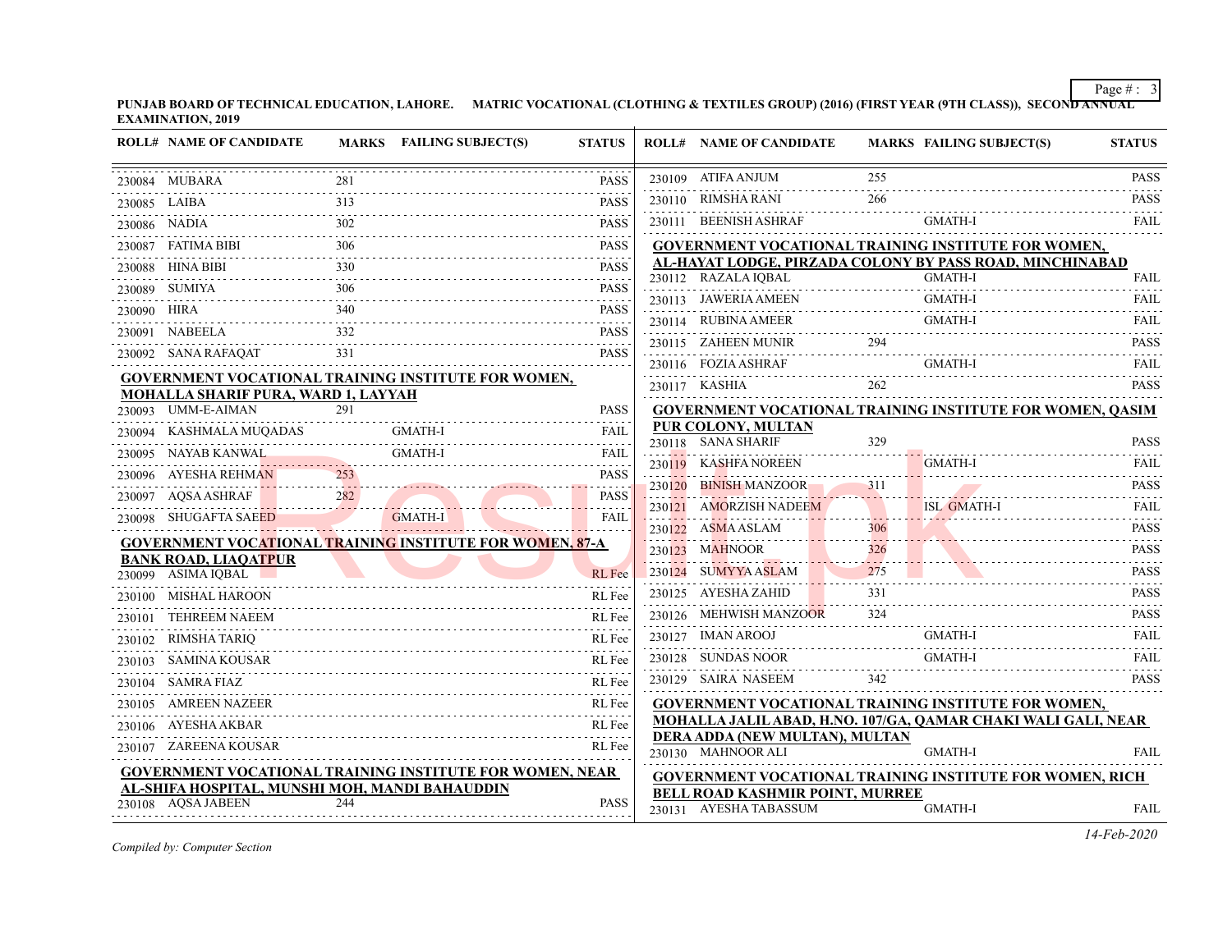**PUNJAB BOARD OF TECHNICAL EDUCATION, LAHORE. MATRIC VOCATIONAL (CLOTHING & TEXTILES GROUP) (2016) (FIRST YEAR (9TH CLASS)), SECOND ANNUAL EXAMINATION, 2019**

|             | <b>ROLL# NAME OF CANDIDATE</b>                    |                        | MARKS FAILING SUBJECT(S)                                                                                                                                                                                                                                                                                                                                                                                                                                                                                | <b>STATUS</b>                    |        | <b>ROLL# NAME OF CANDIDATE</b>                                                                |     | <b>MARKS FAILING SUBJECT(S)</b> | <b>STATUS</b>       |
|-------------|---------------------------------------------------|------------------------|---------------------------------------------------------------------------------------------------------------------------------------------------------------------------------------------------------------------------------------------------------------------------------------------------------------------------------------------------------------------------------------------------------------------------------------------------------------------------------------------------------|----------------------------------|--------|-----------------------------------------------------------------------------------------------|-----|---------------------------------|---------------------|
|             | 230084 MUBARA                                     |                        |                                                                                                                                                                                                                                                                                                                                                                                                                                                                                                         | <b>PASS</b>                      |        | 230109 ATIFA ANJUM                                                                            | 255 |                                 | <b>PASS</b>         |
|             | 230085 LAIBA                                      |                        |                                                                                                                                                                                                                                                                                                                                                                                                                                                                                                         | <b>PASS</b>                      |        | 230110 RIMSHA RANI                                                                            | 266 |                                 | <b>PASS</b><br>.    |
|             | 230086 NADIA                                      | 302                    |                                                                                                                                                                                                                                                                                                                                                                                                                                                                                                         | <b>PASS</b>                      |        | 230111 BEENISH ASHRAF                                                                         |     | <b>GMATH-I</b>                  | <b>FAIL</b>         |
|             |                                                   |                        |                                                                                                                                                                                                                                                                                                                                                                                                                                                                                                         | <b>PASS</b>                      |        | GOVERNMENT VOCATIONAL TRAINING INSTITUTE FOR WOMEN,                                           |     |                                 |                     |
|             | 230088 HINA BIBI                                  | 330                    |                                                                                                                                                                                                                                                                                                                                                                                                                                                                                                         | .<br><b>PASS</b>                 |        | AL-HAYAT LODGE, PIRZADA COLONY BY PASS ROAD, MINCHINABAD<br>230112 RAZALA IQBAL               |     | <b>GMATH-I</b>                  | FAIL                |
|             | 230089 SUMIYA                                     | 306                    |                                                                                                                                                                                                                                                                                                                                                                                                                                                                                                         | <b>PASS</b>                      |        |                                                                                               |     | $L$ GMATH-I<br>GMATH-I          |                     |
| 230090 HIRA |                                                   |                        | 340 PASS                                                                                                                                                                                                                                                                                                                                                                                                                                                                                                |                                  |        | 230113 JAWERIA AMEEN                                                                          |     | <b>GMATH-I</b>                  | FAIL                |
|             | 230091 NABEELA                                    |                        | $\begin{minipage}{0.9\linewidth} \begin{tabular}{l} \multicolumn{2}{c}{} \textbf{232} \end{tabular} \end{minipage} \begin{minipage}{0.9\linewidth} \begin{tabular}{l} \textbf{233} \end{tabular} \end{minipage} \begin{minipage}{0.9\linewidth} \begin{tabular}{l} \textbf{233} \end{tabular} \end{minipage} \end{minipage} \begin{minipage}{0.9\linewidth} \begin{tabular}{l} \textbf{233} \end{tabular} \end{minipage} \end{minipage} \begin{minipage}{0.9\linewidth} \begin{tabular}{l} \textbf{233$ |                                  |        | 230114 RUBINA AMEER                                                                           |     |                                 | FAIL                |
|             | 230092 SANA RAFAQAT                               |                        | AT 331 PASS                                                                                                                                                                                                                                                                                                                                                                                                                                                                                             | <b>PASS</b>                      |        | 230115 ZAHEEN MUNIR 294 PASS                                                                  |     |                                 |                     |
|             |                                                   |                        | <b>GOVERNMENT VOCATIONAL TRAINING INSTITUTE FOR WOMEN,</b>                                                                                                                                                                                                                                                                                                                                                                                                                                              |                                  |        | 230116 FOZIA ASHRAF GMATH-I<br>230117 KASHIA                                                  |     |                                 | FAIL<br><b>PASS</b> |
|             | MOHALLA SHARIF PURA, WARD 1, LAYYAH               |                        |                                                                                                                                                                                                                                                                                                                                                                                                                                                                                                         |                                  |        |                                                                                               |     |                                 |                     |
|             | 230093 UMM-E-AIMAN                                | 291                    |                                                                                                                                                                                                                                                                                                                                                                                                                                                                                                         | <b>PASS</b>                      |        | <b>GOVERNMENT VOCATIONAL TRAINING INSTITUTE FOR WOMEN, QASIM</b><br><b>PUR COLONY, MULTAN</b> |     |                                 |                     |
|             | 230094     KASHMALA MUQADAS                       |                        | GMATH-I                                                                                                                                                                                                                                                                                                                                                                                                                                                                                                 | FAIL                             |        | 230118 SANA SHARIF                                                                            | 329 |                                 | <b>PASS</b>         |
|             | 230095 NAYAB KANWAL                               | <u> Andrew Maria (</u> | <b>GMATH-I</b>                                                                                                                                                                                                                                                                                                                                                                                                                                                                                          | <b>FAIL</b>                      |        | 230119 KASHFA NOREEN                                                                          |     | <b>GMATH-I</b>                  | FAIL                |
|             | 230096 AYESHA REHMAN                              |                        |                                                                                                                                                                                                                                                                                                                                                                                                                                                                                                         | <b>PASS</b><br><u>.</u>          | 230120 | BINISH MANZOOR 311                                                                            |     |                                 | <b>PASS</b>         |
|             | 230097 AQSA ASHRAF                                |                        | $\frac{282}{256}$                                                                                                                                                                                                                                                                                                                                                                                                                                                                                       | <b>PASS</b><br><u>aalisissis</u> | 230121 | <b>AMORZISH NADEEM</b>                                                                        |     | ISL GMATH-I                     | FAII.               |
|             | 230098 SHUGAFTA SAEED                             |                        | GMATH-I                                                                                                                                                                                                                                                                                                                                                                                                                                                                                                 | FAIL                             |        | 230122 ASMA ASLAM                                                                             | 306 |                                 | .<br><b>PASS</b>    |
|             |                                                   |                        | <b>GOVERNMENT VOCATIONAL TRAINING INSTITUTE FOR WOMEN, 87-A</b>                                                                                                                                                                                                                                                                                                                                                                                                                                         |                                  |        | 230123 MAHNOOR 326                                                                            |     |                                 | <b>PASS</b>         |
|             | <b>BANK ROAD, LIAQATPUR</b><br>230099 ASIMA IQBAL |                        |                                                                                                                                                                                                                                                                                                                                                                                                                                                                                                         | RL Fee                           |        | $230124$ SUMYYAASLAM $275$                                                                    |     |                                 | <b>PASS</b>         |
|             | 230100 MISHAL HAROON                              |                        |                                                                                                                                                                                                                                                                                                                                                                                                                                                                                                         | RL Fee                           |        | 230125 AYESHA ZAHID                                                                           | 331 |                                 | .<br><b>PASS</b>    |
| 230101      | TEHREEM NAEEM                                     |                        |                                                                                                                                                                                                                                                                                                                                                                                                                                                                                                         | RL Fee                           |        | 230126 MEHWISH MANZOOR 324                                                                    |     |                                 | <b>PASS</b>         |
|             | 230102 RIMSHA TARIQ                               |                        |                                                                                                                                                                                                                                                                                                                                                                                                                                                                                                         | RL Fee                           |        | 230127 IMAN AROOJ GMATH-I FAIL FAIL                                                           |     |                                 |                     |
|             | 230103 SAMINA KOUSAR                              |                        |                                                                                                                                                                                                                                                                                                                                                                                                                                                                                                         | RL Fee                           |        | 230128 SUNDAS NOOR                                                                            |     | GMATH-I                         | FAIL                |
|             | 230104 SAMRA FIAZ                                 |                        |                                                                                                                                                                                                                                                                                                                                                                                                                                                                                                         | RL Fee                           |        | 230129 SAIRA NASEEM                                                                           | 342 |                                 | <b>PASS</b>         |
| 230105      | <b>AMREEN NAZEER</b>                              |                        |                                                                                                                                                                                                                                                                                                                                                                                                                                                                                                         | RL Fee                           |        | <b>GOVERNMENT VOCATIONAL TRAINING INSTITUTE FOR WOMEN,</b>                                    |     |                                 |                     |
|             | 230106 AYESHA AKBAR                               |                        |                                                                                                                                                                                                                                                                                                                                                                                                                                                                                                         | RL Fee                           |        | MOHALLA JALIL ABAD, H.NO. 107/GA, QAMAR CHAKI WALI GALI, NEAR                                 |     |                                 |                     |
|             | 230107 ZAREENA KOUSAR                             |                        |                                                                                                                                                                                                                                                                                                                                                                                                                                                                                                         | RL Fee                           |        | DERA ADDA (NEW MULTAN), MULTAN<br>230130 MAHNOOR ALI                                          |     | GMATH-I                         | FAIL                |
|             |                                                   |                        | GOVERNMENT VOCATIONAL TRAINING INSTITUTE FOR WOMEN, NEAR                                                                                                                                                                                                                                                                                                                                                                                                                                                |                                  |        | <b>GOVERNMENT VOCATIONAL TRAINING INSTITUTE FOR WOMEN, RICH</b>                               |     |                                 |                     |
|             | AL-SHIFA HOSPITAL, MUNSHI MOH, MANDI BAHAUDDIN    |                        |                                                                                                                                                                                                                                                                                                                                                                                                                                                                                                         |                                  |        | <b>BELL ROAD KASHMIR POINT, MURREE</b>                                                        |     |                                 |                     |
|             | 230108 AQSA JABEEN                                | 244                    |                                                                                                                                                                                                                                                                                                                                                                                                                                                                                                         | <b>PASS</b>                      |        | 230131 AYESHA TABASSUM                                                                        |     | <b>GMATH-I</b>                  | FAIL                |

*Compiled by: Computer Section*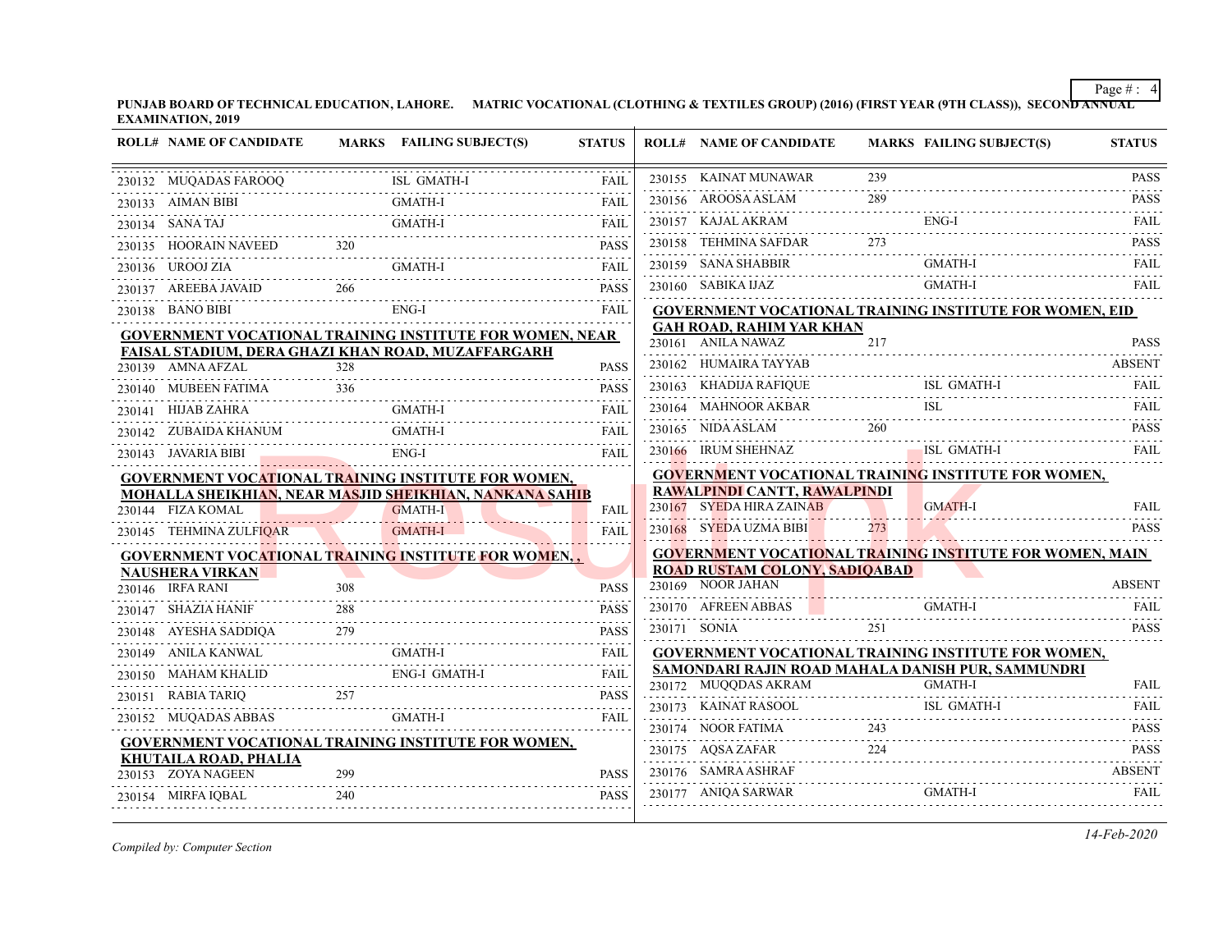**PUNJAB BOARD OF TECHNICAL EDUCATION, LAHORE. MATRIC VOCATIONAL (CLOTHING & TEXTILES GROUP) (2016) (FIRST YEAR (9TH CLASS)), SECOND ANNUAL EXAMINATION, 2019**

| 230155 KAINAT MUNAWAR<br>239<br>230132 MUQADAS FAROOQ<br>FAIL<br>289<br>230156 AROOSA ASLAM<br><b>GMATH-I</b><br>230133 AIMAN BIBI<br>$ENG-I$<br>230157 KAJAL AKRAM<br><b>GMATH-I</b><br>230134 SANA TAJ<br>FAIL<br>273<br>230158 TEHMINA SAFDAR<br>230135 HOORAIN NAVEED 320<br><b>PASS</b><br>230159 SANA SHABBIR<br>GMATH-I<br>230136 UROOJ ZIA<br>GMATH-I<br><b>FAIL</b><br>A          GMATH-I              FAIL<br><b>GMATH-I</b><br>230160 SABIKA IJAZ<br>230137 AREEBA JAVAID<br>266<br><b>PASS</b><br>ENG-I<br>230138 BANO BIBI<br><b>FAIL</b><br><b>GOVERNMENT VOCATIONAL TRAINING INSTITUTE FOR WOMEN, EID</b><br><b>GAH ROAD, RAHIM YAR KHAN</b><br><b>GOVERNMENT VOCATIONAL TRAINING INSTITUTE FOR WOMEN, NEAR</b><br>230161 ANILA NAWAZ<br>217<br>FAISAL STADIUM, DERA GHAZI KHAN ROAD, MUZAFFARGARH<br>230162 HUMAIRA TAYYAB<br>328<br>230139 AMNA AFZAL<br><b>PASS</b><br>ISL GMATH-I<br>230163 KHADIJA RAFIQUE<br>230140 MUBEEN FATIMA 336<br><b>PASS</b><br>230164 MAHNOOR AKBAR<br>230141 HIJAB ZAHRA<br><b>GMATH-I</b><br>FAII.<br>230165 NIDA ASLAM 260<br><b>GMATH-I</b><br>230142 ZUBAIDA KHANUM<br>FAIL<br>ISL GMATH-I<br>230166 IRUM SHEHNAZ<br>$ENG-I$<br>230143 JAVARIA BIBI<br>VARIA BIBI ENG-I<br><b>FAIL</b><br>GOVERNMENT VOCATIONAL TRAINING INSTITUTE FOR WOMEN,<br><b>GOVERNMENT VOCATIONAL TRAINING INSTITUTE FOR WOMEN,</b><br>RAWALPINDI CANTT, RAWALPINDI<br>MOHALLA SHEIKHIAN, NEAR MASJID SHEIKHIAN, NANKANA SAHIB<br>230167 SYEDA HIRA ZAINAB<br><b>GMATH-I</b><br>GMATH-I<br>230144 FIZA KOMAL<br>FAIL<br>230168 SYEDA UZMA BIBI<br>273<br>230145 TEHMINA ZULFIQAR<br>GMATH-I<br>FAII<br><b>GOVERNMENT VOCATIONAL TRAINING INSTITUTE FOR WOMEN, MAIN</b><br>GOVERNMENT VOCATIONAL TRAINING INSTITUTE FOR WOMEN,<br><b>ROAD RUSTAM COLONY, SADIOABAD</b><br><b>NAUSHERA VIRKAN</b><br>230169 NOOR JAHAN<br>230146 IRFA RANI<br>308<br><b>PASS</b> | <b>PASS</b><br><b>PASS</b><br><b>FAIL</b><br><b>PASS</b><br>FAIL<br>FAIL<br><b>PASS</b><br><b>ABSENT</b><br><b>FAIL</b><br><b>PASS</b> |
|-------------------------------------------------------------------------------------------------------------------------------------------------------------------------------------------------------------------------------------------------------------------------------------------------------------------------------------------------------------------------------------------------------------------------------------------------------------------------------------------------------------------------------------------------------------------------------------------------------------------------------------------------------------------------------------------------------------------------------------------------------------------------------------------------------------------------------------------------------------------------------------------------------------------------------------------------------------------------------------------------------------------------------------------------------------------------------------------------------------------------------------------------------------------------------------------------------------------------------------------------------------------------------------------------------------------------------------------------------------------------------------------------------------------------------------------------------------------------------------------------------------------------------------------------------------------------------------------------------------------------------------------------------------------------------------------------------------------------------------------------------------------------------------------------------------------------------------------------------------------------------------------|----------------------------------------------------------------------------------------------------------------------------------------|
|                                                                                                                                                                                                                                                                                                                                                                                                                                                                                                                                                                                                                                                                                                                                                                                                                                                                                                                                                                                                                                                                                                                                                                                                                                                                                                                                                                                                                                                                                                                                                                                                                                                                                                                                                                                                                                                                                           |                                                                                                                                        |
|                                                                                                                                                                                                                                                                                                                                                                                                                                                                                                                                                                                                                                                                                                                                                                                                                                                                                                                                                                                                                                                                                                                                                                                                                                                                                                                                                                                                                                                                                                                                                                                                                                                                                                                                                                                                                                                                                           |                                                                                                                                        |
|                                                                                                                                                                                                                                                                                                                                                                                                                                                                                                                                                                                                                                                                                                                                                                                                                                                                                                                                                                                                                                                                                                                                                                                                                                                                                                                                                                                                                                                                                                                                                                                                                                                                                                                                                                                                                                                                                           |                                                                                                                                        |
|                                                                                                                                                                                                                                                                                                                                                                                                                                                                                                                                                                                                                                                                                                                                                                                                                                                                                                                                                                                                                                                                                                                                                                                                                                                                                                                                                                                                                                                                                                                                                                                                                                                                                                                                                                                                                                                                                           |                                                                                                                                        |
|                                                                                                                                                                                                                                                                                                                                                                                                                                                                                                                                                                                                                                                                                                                                                                                                                                                                                                                                                                                                                                                                                                                                                                                                                                                                                                                                                                                                                                                                                                                                                                                                                                                                                                                                                                                                                                                                                           |                                                                                                                                        |
|                                                                                                                                                                                                                                                                                                                                                                                                                                                                                                                                                                                                                                                                                                                                                                                                                                                                                                                                                                                                                                                                                                                                                                                                                                                                                                                                                                                                                                                                                                                                                                                                                                                                                                                                                                                                                                                                                           |                                                                                                                                        |
|                                                                                                                                                                                                                                                                                                                                                                                                                                                                                                                                                                                                                                                                                                                                                                                                                                                                                                                                                                                                                                                                                                                                                                                                                                                                                                                                                                                                                                                                                                                                                                                                                                                                                                                                                                                                                                                                                           |                                                                                                                                        |
|                                                                                                                                                                                                                                                                                                                                                                                                                                                                                                                                                                                                                                                                                                                                                                                                                                                                                                                                                                                                                                                                                                                                                                                                                                                                                                                                                                                                                                                                                                                                                                                                                                                                                                                                                                                                                                                                                           |                                                                                                                                        |
|                                                                                                                                                                                                                                                                                                                                                                                                                                                                                                                                                                                                                                                                                                                                                                                                                                                                                                                                                                                                                                                                                                                                                                                                                                                                                                                                                                                                                                                                                                                                                                                                                                                                                                                                                                                                                                                                                           |                                                                                                                                        |
|                                                                                                                                                                                                                                                                                                                                                                                                                                                                                                                                                                                                                                                                                                                                                                                                                                                                                                                                                                                                                                                                                                                                                                                                                                                                                                                                                                                                                                                                                                                                                                                                                                                                                                                                                                                                                                                                                           |                                                                                                                                        |
|                                                                                                                                                                                                                                                                                                                                                                                                                                                                                                                                                                                                                                                                                                                                                                                                                                                                                                                                                                                                                                                                                                                                                                                                                                                                                                                                                                                                                                                                                                                                                                                                                                                                                                                                                                                                                                                                                           |                                                                                                                                        |
|                                                                                                                                                                                                                                                                                                                                                                                                                                                                                                                                                                                                                                                                                                                                                                                                                                                                                                                                                                                                                                                                                                                                                                                                                                                                                                                                                                                                                                                                                                                                                                                                                                                                                                                                                                                                                                                                                           |                                                                                                                                        |
|                                                                                                                                                                                                                                                                                                                                                                                                                                                                                                                                                                                                                                                                                                                                                                                                                                                                                                                                                                                                                                                                                                                                                                                                                                                                                                                                                                                                                                                                                                                                                                                                                                                                                                                                                                                                                                                                                           |                                                                                                                                        |
|                                                                                                                                                                                                                                                                                                                                                                                                                                                                                                                                                                                                                                                                                                                                                                                                                                                                                                                                                                                                                                                                                                                                                                                                                                                                                                                                                                                                                                                                                                                                                                                                                                                                                                                                                                                                                                                                                           | FAIL                                                                                                                                   |
|                                                                                                                                                                                                                                                                                                                                                                                                                                                                                                                                                                                                                                                                                                                                                                                                                                                                                                                                                                                                                                                                                                                                                                                                                                                                                                                                                                                                                                                                                                                                                                                                                                                                                                                                                                                                                                                                                           |                                                                                                                                        |
|                                                                                                                                                                                                                                                                                                                                                                                                                                                                                                                                                                                                                                                                                                                                                                                                                                                                                                                                                                                                                                                                                                                                                                                                                                                                                                                                                                                                                                                                                                                                                                                                                                                                                                                                                                                                                                                                                           | <b>FAIL</b>                                                                                                                            |
|                                                                                                                                                                                                                                                                                                                                                                                                                                                                                                                                                                                                                                                                                                                                                                                                                                                                                                                                                                                                                                                                                                                                                                                                                                                                                                                                                                                                                                                                                                                                                                                                                                                                                                                                                                                                                                                                                           | <b>PASS</b>                                                                                                                            |
|                                                                                                                                                                                                                                                                                                                                                                                                                                                                                                                                                                                                                                                                                                                                                                                                                                                                                                                                                                                                                                                                                                                                                                                                                                                                                                                                                                                                                                                                                                                                                                                                                                                                                                                                                                                                                                                                                           |                                                                                                                                        |
|                                                                                                                                                                                                                                                                                                                                                                                                                                                                                                                                                                                                                                                                                                                                                                                                                                                                                                                                                                                                                                                                                                                                                                                                                                                                                                                                                                                                                                                                                                                                                                                                                                                                                                                                                                                                                                                                                           |                                                                                                                                        |
|                                                                                                                                                                                                                                                                                                                                                                                                                                                                                                                                                                                                                                                                                                                                                                                                                                                                                                                                                                                                                                                                                                                                                                                                                                                                                                                                                                                                                                                                                                                                                                                                                                                                                                                                                                                                                                                                                           | <b>ABSENT</b>                                                                                                                          |
| GMATH-I<br>230170 AFREEN ABBAS<br>230147 SHAZIA HANIF<br>288<br><b>PASS</b><br>.                                                                                                                                                                                                                                                                                                                                                                                                                                                                                                                                                                                                                                                                                                                                                                                                                                                                                                                                                                                                                                                                                                                                                                                                                                                                                                                                                                                                                                                                                                                                                                                                                                                                                                                                                                                                          | <b>FAIL</b>                                                                                                                            |
| 251<br>230171 SONIA<br>230148 AYESHA SADDIQA 279<br><b>PASS</b>                                                                                                                                                                                                                                                                                                                                                                                                                                                                                                                                                                                                                                                                                                                                                                                                                                                                                                                                                                                                                                                                                                                                                                                                                                                                                                                                                                                                                                                                                                                                                                                                                                                                                                                                                                                                                           | <b>PASS</b>                                                                                                                            |
| <b>GOVERNMENT VOCATIONAL TRAINING INSTITUTE FOR WOMEN,</b>                                                                                                                                                                                                                                                                                                                                                                                                                                                                                                                                                                                                                                                                                                                                                                                                                                                                                                                                                                                                                                                                                                                                                                                                                                                                                                                                                                                                                                                                                                                                                                                                                                                                                                                                                                                                                                |                                                                                                                                        |
| $\begin{tabular}{c} 230149 & ANILA KANWAL \\ \hline \multicolumn{3}{c}{PAIL} \multicolumn{3}{c}{FAIL} \multicolumn{3}{c}{FAIL} \multicolumn{3}{c}{FAIL} \multicolumn{3}{c}{FAIL} \multicolumn{3}{c}{FAIL} \multicolumn{3}{c}{FAIL} \multicolumn{3}{c}{FAIL} \multicolumn{3}{c}{FAIL} \multicolumn{3}{c}{FAIL} \multicolumn{3}{c}{FAIL} \multicolumn{3}{c}{FAIL} \multicolumn{3}{c}{FAIL} \multicolumn{3}{c}{FAIL} \multicolumn{3}{c}{FAIL} \multicolumn{3}{c}{FAIL} \multic$<br>SAMONDARI RAJIN ROAD MAHALA DANISH PUR, SAMMUNDRI<br><b>GMATH-I</b>                                                                                                                                                                                                                                                                                                                                                                                                                                                                                                                                                                                                                                                                                                                                                                                                                                                                                                                                                                                                                                                                                                                                                                                                                                                                                                                                       | <b>FAIL</b>                                                                                                                            |
| 230172 MUQQDAS AKRAM GMATH-I<br>257<br><b>PASS</b><br>230151 RABIA TARIQ                                                                                                                                                                                                                                                                                                                                                                                                                                                                                                                                                                                                                                                                                                                                                                                                                                                                                                                                                                                                                                                                                                                                                                                                                                                                                                                                                                                                                                                                                                                                                                                                                                                                                                                                                                                                                  |                                                                                                                                        |
| ISL GMATH-I<br>230173 KAINAT RASOOL<br><b>GMATH-I</b><br>230152 MUQADAS ABBAS<br><b>FAIL</b><br>243                                                                                                                                                                                                                                                                                                                                                                                                                                                                                                                                                                                                                                                                                                                                                                                                                                                                                                                                                                                                                                                                                                                                                                                                                                                                                                                                                                                                                                                                                                                                                                                                                                                                                                                                                                                       | <b>FAIL</b>                                                                                                                            |
| 230174 NOOR FATIMA<br><b>GOVERNMENT VOCATIONAL TRAINING INSTITUTE FOR WOMEN,</b>                                                                                                                                                                                                                                                                                                                                                                                                                                                                                                                                                                                                                                                                                                                                                                                                                                                                                                                                                                                                                                                                                                                                                                                                                                                                                                                                                                                                                                                                                                                                                                                                                                                                                                                                                                                                          | <b>PASS</b>                                                                                                                            |
| 230175 AQSA ZAFAR 224 PASS<br>KHUTAILA ROAD, PHALIA                                                                                                                                                                                                                                                                                                                                                                                                                                                                                                                                                                                                                                                                                                                                                                                                                                                                                                                                                                                                                                                                                                                                                                                                                                                                                                                                                                                                                                                                                                                                                                                                                                                                                                                                                                                                                                       |                                                                                                                                        |
| 230176 SAMRA ASHRAF<br>230153 ZOYA NAGEEN<br><b>PASS</b><br>299<br><b>GMATH-I</b>                                                                                                                                                                                                                                                                                                                                                                                                                                                                                                                                                                                                                                                                                                                                                                                                                                                                                                                                                                                                                                                                                                                                                                                                                                                                                                                                                                                                                                                                                                                                                                                                                                                                                                                                                                                                         | <b>ABSENT</b><br><b>FAIL</b>                                                                                                           |
| 230177 ANIQA SARWAR<br>230177 ANIQA SARWAR GMATH-I<br>230154 MIRFA IQBAL<br>240<br><b>PASS</b>                                                                                                                                                                                                                                                                                                                                                                                                                                                                                                                                                                                                                                                                                                                                                                                                                                                                                                                                                                                                                                                                                                                                                                                                                                                                                                                                                                                                                                                                                                                                                                                                                                                                                                                                                                                            |                                                                                                                                        |

*Compiled by: Computer Section*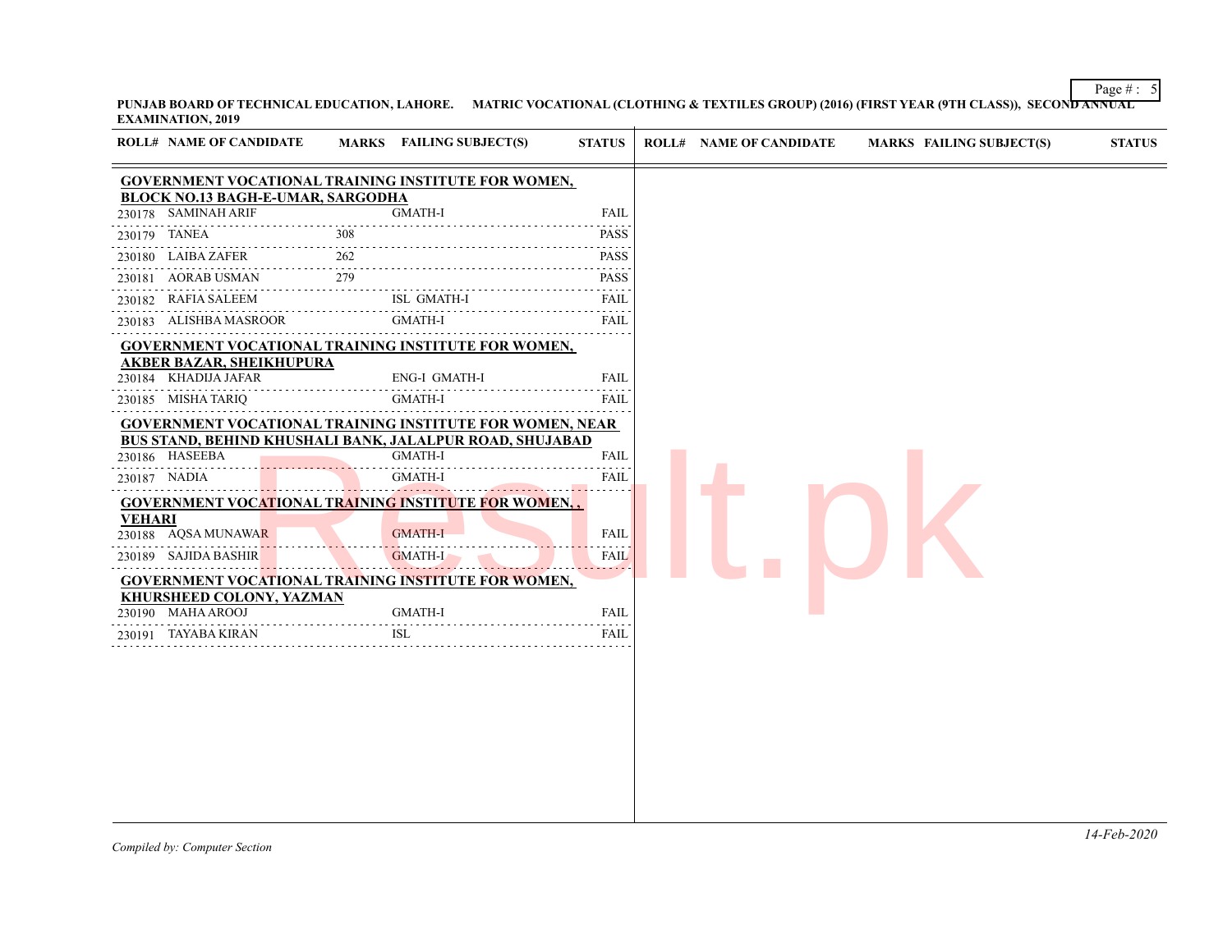**PUNJAB BOARD OF TECHNICAL EDUCATION, LAHORE. MATRIC VOCATIONAL (CLOTHING & TEXTILES GROUP) (2016) (FIRST YEAR (9TH CLASS)), SECOND ANNUAL EXAMINATION, 2019**

|               | <b>ROLL# NAME OF CANDIDATE</b>                                  |     | MARKS FAILING SUBJECT(S) | <b>STATUS</b> |
|---------------|-----------------------------------------------------------------|-----|--------------------------|---------------|
|               | GOVERNMENT VOCATIONAL TRAINING INSTITUTE FOR WOMEN,             |     |                          |               |
|               | <b>BLOCK NO.13 BAGH-E-UMAR, SARGODHA</b>                        |     |                          |               |
|               | 230178 SAMINAH ARIF                                             |     | <b>GMATH-I</b>           | <b>FAIL</b>   |
|               | 230179 TANEA                                                    | 308 |                          | PASS          |
|               | 230180 LAIBA ZAFER                                              | 262 |                          | PASS          |
|               | 230181 AORAB USMAN                                              | 279 |                          | <b>PASS</b>   |
| 230182        | <b>RAFIA SALEEM</b>                                             |     | ISL GMATH-I              | <b>FAIL</b>   |
|               | 230183 ALISHBA MASROOR                                          |     | <b>GMATH-I</b>           | FAIL          |
|               | <b>GOVERNMENT VOCATIONAL TRAINING INSTITUTE FOR WOMEN,</b>      |     |                          |               |
|               | <b>AKBER BAZAR, SHEIKHUPURA</b>                                 |     |                          |               |
|               | 230184 KHADIJA JAFAR                                            |     | <b>ENG-I GMATH-I</b>     | FAIL          |
|               | 230185 MISHA TARIQ                                              |     | <b>GMATH-I</b>           | FAIL          |
|               | <b>GOVERNMENT VOCATIONAL TRAINING INSTITUTE FOR WOMEN, NEAR</b> |     |                          |               |
|               | BUS STAND, BEHIND KHUSHALI BANK, JALALPUR ROAD, SHUJABAD        |     |                          |               |
|               | 230186 HASEEBA                                                  |     | <b>GMATH-I</b>           | <b>FAIL</b>   |
|               | 230187 NADIA                                                    |     | <b>GMATH-I</b>           | FAIL<br>.     |
|               | <b>GOVERNMENT VOCATIONAL TRAINING INSTITUTE FOR WOMEN,,</b>     |     |                          |               |
| <b>VEHARI</b> |                                                                 |     | <b>GMATH-I</b>           | <b>FAIL</b>   |
|               | 230188 AQSA MUNAWAR                                             |     |                          |               |
|               | 230189 SAJIDA BASHIR                                            |     | <b>GMATH-I</b>           | FAIL<br>.     |
|               | <b>GOVERNMENT VOCATIONAL TRAINING INSTITUTE FOR WOMEN,</b>      |     |                          |               |
|               | <b>KHURSHEED COLONY, YAZMAN</b><br>230190 MAHA AROOJ            |     | <b>GMATH-I</b>           | <b>FAIL</b>   |
|               | 230191 TAYABA KIRAN                                             |     | <b>ISL</b>               | FAIL          |
|               |                                                                 |     |                          |               |

Page  $\# : 5$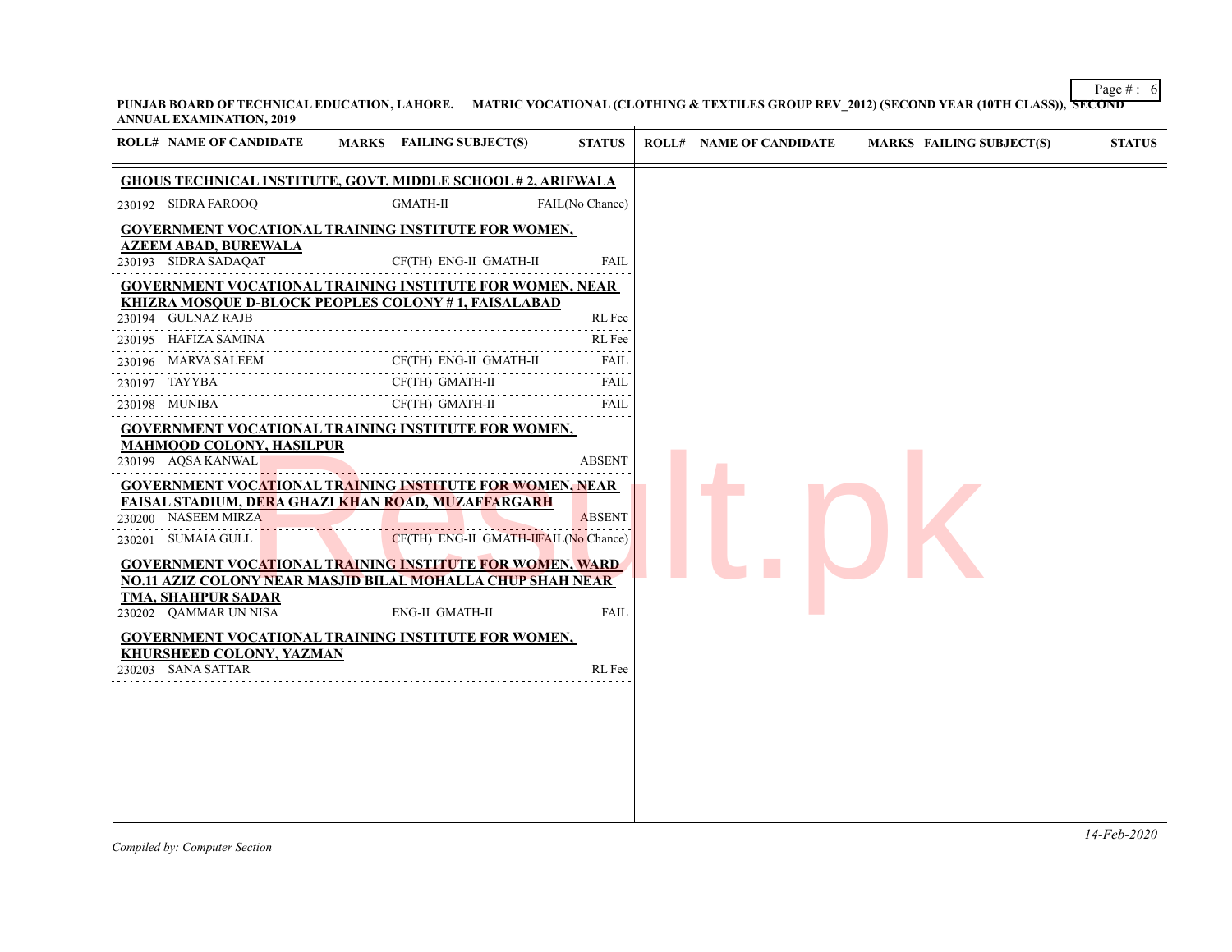Page  $\#$  : 6 **PUNJAB BOARD OF TECHNICAL EDUCATION, LAHORE. MATRIC VOCATIONAL (CLOTHING & TEXTILES GROUP REV\_2012) (SECOND YEAR (10TH CLASS)), SECOND ANNUAL EXAMINATION, 2019**

| ROLL# NAME OF CANDIDATE                                                                                               | <b>MARKS</b> FAILING SUBJECT(S)      | <b>STATUS</b>                       | <b>MARKS FAILING SUBJECT(S)</b><br><b>STATUS</b><br><b>ROLL# NAME OF CANDIDATE</b> |
|-----------------------------------------------------------------------------------------------------------------------|--------------------------------------|-------------------------------------|------------------------------------------------------------------------------------|
| <b>GHOUS TECHNICAL INSTITUTE, GOVT. MIDDLE SCHOOL #2, ARIFWALA</b>                                                    |                                      |                                     |                                                                                    |
| 230192 SIDRA FAROOQ                                                                                                   | <b>GMATH-II</b>                      | FAIL(No Chance)                     |                                                                                    |
| <b>GOVERNMENT VOCATIONAL TRAINING INSTITUTE FOR WOMEN,</b>                                                            |                                      |                                     |                                                                                    |
| <b>AZEEM ABAD, BUREWALA</b><br>230193 SIDRA SADAQAT                                                                   | CF(TH) ENG-II GMATH-II               | <b>FAIL</b>                         |                                                                                    |
| <b>GOVERNMENT VOCATIONAL TRAINING INSTITUTE FOR WOMEN, NEAR</b>                                                       |                                      |                                     |                                                                                    |
| KHIZRA MOSOUE D-BLOCK PEOPLES COLONY #1, FAISALABAD<br>230194 GULNAZ RAJB                                             |                                      | RL Fee                              |                                                                                    |
| 230195 HAFIZA SAMINA                                                                                                  |                                      | RL Fee                              |                                                                                    |
| 230196 MARVA SALEEM                                                                                                   | CF(TH) ENG-II GMATH-II               | 2.2.2.2.2<br>FAIL                   |                                                                                    |
| .<br>111111111111111111111111111111<br>230197 TAYYBA                                                                  | CF(TH) GMATH-II                      | .<br><b>FAIL</b>                    |                                                                                    |
| 230198 MUNIBA                                                                                                         | CF(TH) GMATH-II                      | $\omega$ is a set of<br><b>FAIL</b> |                                                                                    |
| GOVERNMENT VOCATIONAL TRAINING INSTITUTE FOR WOMEN,                                                                   |                                      |                                     |                                                                                    |
| <b>MAHMOOD COLONY, HASILPUR</b>                                                                                       |                                      |                                     |                                                                                    |
| 230199 AQSA KANWAL                                                                                                    |                                      | <b>ABSENT</b>                       |                                                                                    |
| GOVERNMENT VOCATIONAL TRAINING INSTITUTE FOR WOMEN, NEAR<br><b>FAISAL STADIUM, DERA GHAZI KHAN ROAD, MUZAFFARGARH</b> |                                      |                                     |                                                                                    |
| 230200 NASEEM MIRZA                                                                                                   |                                      | <b>ABSENT</b>                       |                                                                                    |
| 230201 SUMAIA GULL                                                                                                    | CF(TH) ENG-II GMATH-IFAIL(No Chance) |                                     |                                                                                    |
| GOVERNMENT VOCATIONAL TRAINING INSTITUTE FOR WOMEN, WARD                                                              |                                      |                                     |                                                                                    |
| NO.11 AZIZ COLONY NEAR MASJID BILAL MOHALLA CHUP SHAH NEAR                                                            |                                      |                                     |                                                                                    |
| TMA, SHAHPUR SADAR<br>230202 QAMMAR UN NISA                                                                           | <b>ENG-II GMATH-II</b>               | <b>FAIL</b>                         |                                                                                    |
| <b>GOVERNMENT VOCATIONAL TRAINING INSTITUTE FOR WOMEN,</b>                                                            |                                      |                                     |                                                                                    |
| <b>KHURSHEED COLONY, YAZMAN</b>                                                                                       |                                      |                                     |                                                                                    |
| 230203 SANA SATTAR                                                                                                    |                                      | RL Fee                              |                                                                                    |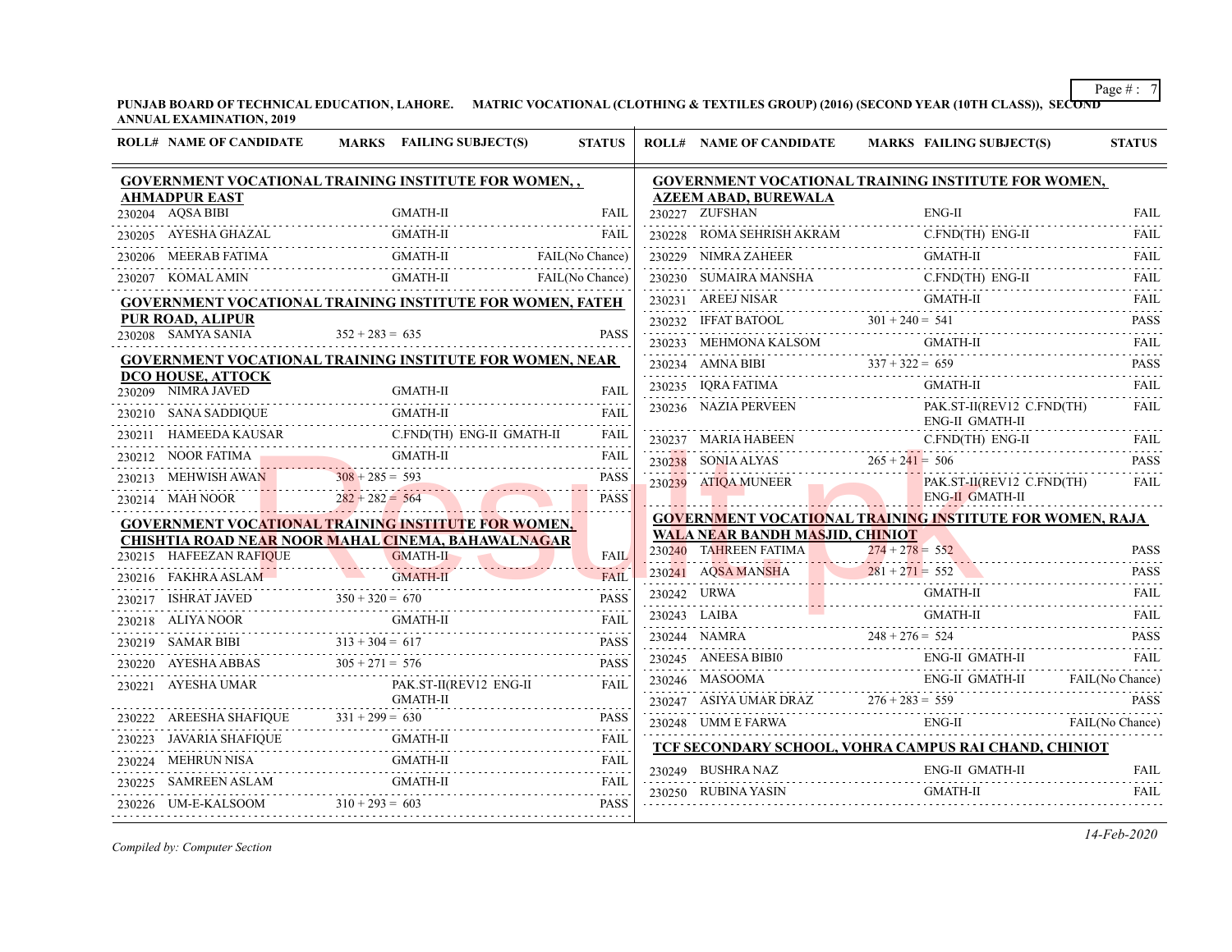**PUNJAB BOARD OF TECHNICAL EDUCATION, LAHORE. MATRIC VOCATIONAL (CLOTHING & TEXTILES GROUP) (2016) (SECOND YEAR (10TH CLASS)), SECOND ANNUAL EXAMINATION, 2019**

| <b>ROLL# NAME OF CANDIDATE</b>                                   | <b>MARKS</b> FAILING SUBJECT(S)                                                                                                                                                                                                                                                                                                                                                                                        | <b>STATUS</b>                         | <b>ROLL# NAME OF CANDIDATE</b>                | <b>MARKS FAILING SUBJECT(S)</b>                                                                                                                                                                                                                                                                                                                                                                                                                                                        | <b>STATUS</b>    |
|------------------------------------------------------------------|------------------------------------------------------------------------------------------------------------------------------------------------------------------------------------------------------------------------------------------------------------------------------------------------------------------------------------------------------------------------------------------------------------------------|---------------------------------------|-----------------------------------------------|----------------------------------------------------------------------------------------------------------------------------------------------------------------------------------------------------------------------------------------------------------------------------------------------------------------------------------------------------------------------------------------------------------------------------------------------------------------------------------------|------------------|
|                                                                  | <b>GOVERNMENT VOCATIONAL TRAINING INSTITUTE FOR WOMEN,,</b>                                                                                                                                                                                                                                                                                                                                                            |                                       |                                               | GOVERNMENT VOCATIONAL TRAINING INSTITUTE FOR WOMEN,                                                                                                                                                                                                                                                                                                                                                                                                                                    |                  |
| <b>AHMADPUR EAST</b><br>230204 AQSA BIBI                         | GMATH-II                                                                                                                                                                                                                                                                                                                                                                                                               | FAIL                                  | <b>AZEEM ABAD, BUREWALA</b><br>230227 ZUFSHAN | $ENG-II$                                                                                                                                                                                                                                                                                                                                                                                                                                                                               | <b>FAIL</b>      |
| 230205 AYESHA GHAZAL                                             | <b>GMATH-II</b>                                                                                                                                                                                                                                                                                                                                                                                                        | FAIL                                  |                                               | 230227 ZUFSHAN ENG-II<br>230228 ROMA SEHRISH AKRAM C.FND(TH) ENG-II<br>230228 ROMA SEHRISH AKRAM C.FND(TH) ENG-II                                                                                                                                                                                                                                                                                                                                                                      | <b>FAIL</b>      |
|                                                                  | GMATH-II FAIL (No Chance)                                                                                                                                                                                                                                                                                                                                                                                              |                                       | 230229 NIMRA ZAHEER                           | GMATH-II                                                                                                                                                                                                                                                                                                                                                                                                                                                                               | FAIL             |
| 230207 KOMAL AMIN                                                | GMATH-II<br>.                                                                                                                                                                                                                                                                                                                                                                                                          | FAIL(No Chance)                       |                                               | 230230 SUMAIRA MANSHA C.FND(TH) ENG-II                                                                                                                                                                                                                                                                                                                                                                                                                                                 | <b>FAIL</b>      |
|                                                                  | <b>GOVERNMENT VOCATIONAL TRAINING INSTITUTE FOR WOMEN, FATEH</b>                                                                                                                                                                                                                                                                                                                                                       |                                       | 230231 AREEJ NISAR                            | 230231 AREEJ NISAR GMATH-II GMATH-II GMATH-II (2002)                                                                                                                                                                                                                                                                                                                                                                                                                                   | <b>FAIL</b>      |
| PUR ROAD, ALIPUR                                                 |                                                                                                                                                                                                                                                                                                                                                                                                                        |                                       |                                               |                                                                                                                                                                                                                                                                                                                                                                                                                                                                                        | .<br><b>PASS</b> |
| 230208 SAMYA SANIA                                               | $352 + 283 = 635$                                                                                                                                                                                                                                                                                                                                                                                                      | <b>PASS</b>                           |                                               | $\begin{tabular}{c} {\bf 230232} \end{tabular} \begin{tabular}{c} {\bf 107} \end{tabular} \begin{tabular}{c} {\bf 230232} \end{tabular} \begin{tabular}{c} {\bf 108} \end{tabular} \begin{tabular}{c} {\bf 230233} \end{tabular} \begin{tabular}{c} {\bf 108} \end{tabular} \begin{tabular}{c} {\bf 230233} \end{tabular} \end{tabular} \begin{tabular}{c} {\bf 109} \end{tabular} \begin{tabular}{c} {\bf 230233} \end{tabular} \end{tabular} \begin{tab$                             | <b>FAIL</b><br>. |
| DCO HOUSE, ATTOCK                                                | <b>GOVERNMENT VOCATIONAL TRAINING INSTITUTE FOR WOMEN, NEAR</b>                                                                                                                                                                                                                                                                                                                                                        |                                       |                                               | 230234 AMNA BIBI $337 + 322 = 659$                                                                                                                                                                                                                                                                                                                                                                                                                                                     | <b>PASS</b><br>. |
| 230209 NIMRA JAVED                                               | <b>GMATH-II</b>                                                                                                                                                                                                                                                                                                                                                                                                        | <b>FAIL</b>                           | 230235 IQRA FATIMA                            | GMATH-II                                                                                                                                                                                                                                                                                                                                                                                                                                                                               | FAIL             |
| 230210 SANA SADDIQUE                                             | <b>GMATH-II</b>                                                                                                                                                                                                                                                                                                                                                                                                        | FAIL                                  | 230236 NAZIA PERVEEN                          | PAK.ST-II(REV12 C.FND(TH)<br>ENG-II GMATH-II                                                                                                                                                                                                                                                                                                                                                                                                                                           | <b>FAIL</b>      |
|                                                                  | 230211 HAMEEDA KAUSAR C.FND(TH) ENG-II GMATH-II                                                                                                                                                                                                                                                                                                                                                                        | FAIL<br>.                             |                                               | 230237 MARIA HABEEN C.FND(TH) ENG-II                                                                                                                                                                                                                                                                                                                                                                                                                                                   | <b>FAIL</b>      |
| 230212 NOOR FATIMA GMATH-II                                      |                                                                                                                                                                                                                                                                                                                                                                                                                        | FAIL<br>.                             | 230238 SONIA ALYAS $265 + 241 = 506$          |                                                                                                                                                                                                                                                                                                                                                                                                                                                                                        | <b>PASS</b>      |
|                                                                  | 230213 MEHWISH AWAN 308 + 285 = 593                                                                                                                                                                                                                                                                                                                                                                                    | <b>PASS</b><br>2 2 2 2 2 <sub>3</sub> | 230239 ATIQA MUNEER                           | PAK.ST-II(REV12 C.FND(TH)                                                                                                                                                                                                                                                                                                                                                                                                                                                              | FAII.            |
| 230214 MAH NOOR 282 + 282 = 564                                  |                                                                                                                                                                                                                                                                                                                                                                                                                        | <b>PASS</b>                           |                                               | <b>ENG-II GMATH-II</b>                                                                                                                                                                                                                                                                                                                                                                                                                                                                 |                  |
|                                                                  | GOVERNMENT VOCATIONAL TRAINING INSTITUTE FOR WOMEN,                                                                                                                                                                                                                                                                                                                                                                    |                                       | <b>WALA NEAR BANDH MASJID, CHINIOT</b>        | <b>GOVERNMENT VOCATIONAL TRAINING INSTITUTE FOR WOMEN, RAJA</b>                                                                                                                                                                                                                                                                                                                                                                                                                        |                  |
|                                                                  | CHISHTIA ROAD NEAR NOOR MAHAL CINEMA, BAHAWALNAGAR                                                                                                                                                                                                                                                                                                                                                                     | <b>FAIL</b>                           |                                               | 230240 TAHREEN FATIMA 274 + 278 = 552 PASS                                                                                                                                                                                                                                                                                                                                                                                                                                             |                  |
|                                                                  | 230215 HAFEEZAN RAFIQUE GMATH-II                                                                                                                                                                                                                                                                                                                                                                                       | <b>FAIL</b>                           |                                               | 230241 AQSA MANSHA 281+271= 552                                                                                                                                                                                                                                                                                                                                                                                                                                                        | <b>PASS</b>      |
| 230216 FAKHRA ASLAM GMATH-II                                     |                                                                                                                                                                                                                                                                                                                                                                                                                        | <b>PASS</b>                           | 230242 URWA                                   | <b>GMATH-II</b>                                                                                                                                                                                                                                                                                                                                                                                                                                                                        | FAIL             |
| 230217 ISHRAT JAVED $350 + 320 = 670$                            |                                                                                                                                                                                                                                                                                                                                                                                                                        |                                       |                                               | $\begin{minipage}{.4\linewidth} \begin{tabular}{c} \multicolumn{2}{c} \textbf{230243} & LAIBA & \multicolumn{2}{c} \multicolumn{2}{c} \multicolumn{2}{c} \multicolumn{2}{c} \multicolumn{2}{c} \multicolumn{2}{c} \multicolumn{2}{c} \multicolumn{2}{c} \multicolumn{2}{c} \multicolumn{2}{c} \multicolumn{2}{c} \multicolumn{2}{c} \multicolumn{2}{c} \multicolumn{2}{c} \multicolumn{2}{c} \multicolumn{2}{c} \multicolumn{2}{c} \multicolumn{2}{c} \multicolumn{2}{c} \multicolumn$ | .<br>FAII.       |
|                                                                  |                                                                                                                                                                                                                                                                                                                                                                                                                        |                                       | 230244 NAMRA 248 + 276 = 524                  |                                                                                                                                                                                                                                                                                                                                                                                                                                                                                        | .<br><b>PASS</b> |
|                                                                  | $\begin{tabular}{c c c c} \multicolumn{1}{c }{\textbf{230218}} & \multicolumn{1}{c }{ALIVA NOOR} & \multicolumn{1}{c }{GMATH-II} & \multicolumn{1}{c }{FAIL} \\ \multicolumn{1}{c }{\textbf{230219}} & \multicolumn{1}{c }{SAMAR BIBI} & \multicolumn{1}{c }{313 + 304} = $617 & \multicolumn{1}{c }{PASS} \\ \multicolumn{1}{c }{\textbf{230220}} & \multicolumn{1}{c }{NAFSHA ABBAS} & \multicolumn{1}{c }{305 + 27$ |                                       |                                               | <b>ENG-II GMATH-II</b><br>${\tt 230245} \quad {\tt ANEESA BIBI0} \qquad {\tt ENG-II \, GMATH-II}$                                                                                                                                                                                                                                                                                                                                                                                      | <b>FAIL</b>      |
|                                                                  |                                                                                                                                                                                                                                                                                                                                                                                                                        | FAIL                                  |                                               |                                                                                                                                                                                                                                                                                                                                                                                                                                                                                        |                  |
|                                                                  |                                                                                                                                                                                                                                                                                                                                                                                                                        | <b>PASS</b>                           |                                               |                                                                                                                                                                                                                                                                                                                                                                                                                                                                                        |                  |
|                                                                  |                                                                                                                                                                                                                                                                                                                                                                                                                        | <b>FAIL</b>                           | 230248 UMM E FARWA ENG-II                     | ENG-II FAIL(No Chance)                                                                                                                                                                                                                                                                                                                                                                                                                                                                 |                  |
| ${\bf 230223} \quad {\bf JAVARIA SHAFIQUE} \quad {\bf GMATH-II}$ |                                                                                                                                                                                                                                                                                                                                                                                                                        | .<br>FAIL                             |                                               | TCF SECONDARY SCHOOL, VOHRA CAMPUS RAI CHAND, CHINIOT                                                                                                                                                                                                                                                                                                                                                                                                                                  |                  |
|                                                                  | 230224 MEHRUN NISA GMATH-II                                                                                                                                                                                                                                                                                                                                                                                            | .<br>FAIL                             | 230249 BUSHRA NAZ                             | ENG-II GMATH-II                                                                                                                                                                                                                                                                                                                                                                                                                                                                        | <b>FAIL</b><br>. |
| 230226 UM-E-KALSOOM $310 + 293 = 603$                            | 230225 SAMREEN ASLAM GMATH-II FAIL FAIL                                                                                                                                                                                                                                                                                                                                                                                | <b>PASS</b>                           | 230250 RUBINA YASIN                           | <b>GMATH-II</b>                                                                                                                                                                                                                                                                                                                                                                                                                                                                        | <b>FAIL</b>      |
|                                                                  |                                                                                                                                                                                                                                                                                                                                                                                                                        |                                       |                                               |                                                                                                                                                                                                                                                                                                                                                                                                                                                                                        |                  |

*Compiled by: Computer Section*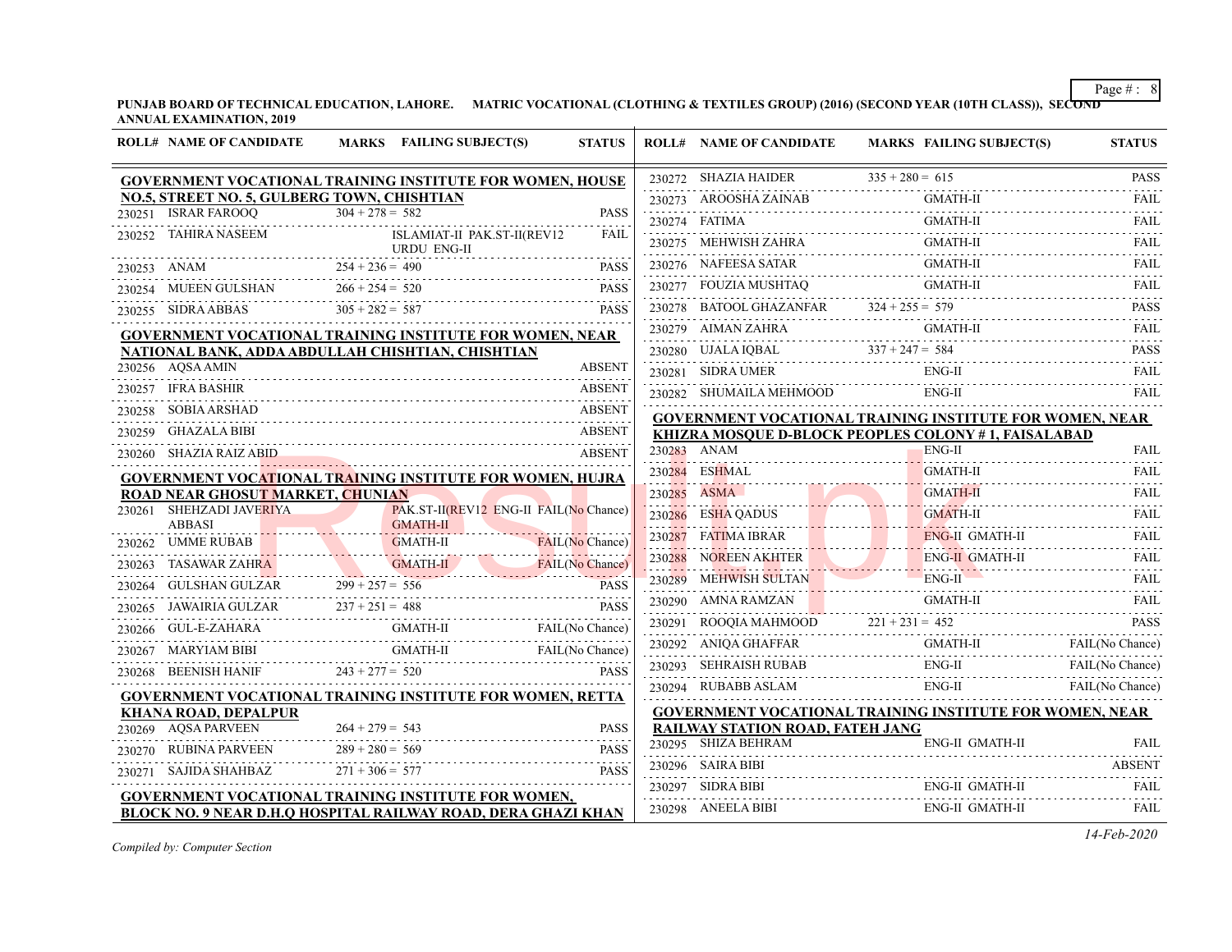**PUNJAB BOARD OF TECHNICAL EDUCATION, LAHORE. MATRIC VOCATIONAL (CLOTHING & TEXTILES GROUP) (2016) (SECOND YEAR (10TH CLASS)), SECOND ANNUAL EXAMINATION, 2019**

|        | <b>ROLL# NAME OF CANDIDATE</b>              | MARKS FAILING SUBJECT(S)                                                                    | <b>STATUS</b>                          | <b>ROLL# NAME OF CANDIDATE</b>                                                                                                                                                                                                               |                   | <b>MARKS FAILING SUBJECT(S)</b> | <b>STATUS</b>               |
|--------|---------------------------------------------|---------------------------------------------------------------------------------------------|----------------------------------------|----------------------------------------------------------------------------------------------------------------------------------------------------------------------------------------------------------------------------------------------|-------------------|---------------------------------|-----------------------------|
|        |                                             | GOVERNMENT VOCATIONAL TRAINING INSTITUTE FOR WOMEN, HOUSE                                   |                                        | 230272 SHAZIA HAIDER                                                                                                                                                                                                                         | $335 + 280 = 615$ |                                 | <b>PASS</b>                 |
|        | NO.5, STREET NO. 5, GULBERG TOWN, CHISHTIAN |                                                                                             |                                        | $230273 \quad \text{AROOSHA ZAINAB}$                                                                                                                                                                                                         |                   | <b>GMATH-II</b>                 | <b>FAIL</b>                 |
|        | 230251 ISRAR FAROOO                         | $304 + 278 = 582$                                                                           | <b>PASS</b>                            | 230274 FATIMA                                                                                                                                                                                                                                |                   | <b>GMATH-II</b>                 | <b>FAIL</b>                 |
|        | 230252 TAHIRA NASEEM                        | ISLAMIAT-II PAK.ST-II(REV12<br>URDU ENG-II                                                  | <b>FAIL</b>                            | 230275 MEHWISH ZAHRA                                                                                                                                                                                                                         |                   | <b>GMATH-II</b>                 | .<br><b>FAIL</b>            |
|        | 230253 ANAM                                 | $254 + 236 = 490$                                                                           | <b>PASS</b>                            | 230276 NAFEESA SATAR                                                                                                                                                                                                                         |                   | GMATH-II                        | <b>FAIL</b>                 |
|        | 230254 MUEEN GULSHAN                        | $266 + 254 = 520$                                                                           | <b>PASS</b>                            |                                                                                                                                                                                                                                              |                   |                                 | <b>FAIL</b><br>.            |
|        | 230255 SIDRA ABBAS                          | $305 + 282 = 587$                                                                           | <b>PASS</b>                            | $\begin{tabular}{lllll} \multicolumn{2}{l}{{230277}} & \multicolumn{2}{l}{FOUZIA MUSHTAQ} & \multicolumn{2}{l}{GMATH-II} \\ \multicolumn{2}{l}{230277} & \multicolumn{2}{l}{FOUZIA MUSHTAQ} & \multicolumn{2}{l}{324+255=579} \end{tabular}$ |                   |                                 | <b>PASS</b><br>.            |
|        |                                             | <b>GOVERNMENT VOCATIONAL TRAINING INSTITUTE FOR WOMEN, NEAR</b>                             |                                        | 230279 AIMAN ZAHRA                                                                                                                                                                                                                           |                   | GMATH-II                        | FAII.                       |
|        |                                             | NATIONAL BANK, ADDA ABDULLAH CHISHTIAN, CHISHTIAN                                           |                                        | 230280 UJALA IQBAL $337 + 247 = 584$                                                                                                                                                                                                         |                   |                                 | <b>PASS</b>                 |
|        | 230256 AQSA AMIN                            |                                                                                             | <b>ABSENT</b>                          | 230281 SIDRA UMER                                                                                                                                                                                                                            |                   | ENG-II                          | <b>FAIL</b>                 |
|        | 230257 IFRA BASHIR                          |                                                                                             | <b>ABSENT</b>                          | 230282 SHUMAILA MEHMOOD                                                                                                                                                                                                                      |                   | ENG-II                          | FAIL                        |
|        | 230258 SOBIA ARSHAD                         |                                                                                             | <b>ABSENT</b>                          | <b>GOVERNMENT VOCATIONAL TRAINING INSTITUTE FOR WOMEN, NEAR</b>                                                                                                                                                                              |                   |                                 |                             |
|        | 230259 GHAZALA BIBI                         |                                                                                             | ABSENT                                 | KHIZRA MOSQUE D-BLOCK PEOPLES COLONY #1, FAISALABAD                                                                                                                                                                                          |                   |                                 |                             |
|        | 230260 SHAZIA RAIZ ABID                     |                                                                                             | <b>ABSENT</b>                          | 230283 ANAM                                                                                                                                                                                                                                  |                   | ENG-II                          | <b>FAIL</b>                 |
|        |                                             | <b>GOVERNMENT VOCATIONAL TRAINING INSTITUTE FOR WOMEN, HUJRA</b>                            |                                        | 230284 ESHMAL                                                                                                                                                                                                                                |                   | <b>GMATH-II</b>                 | FAIL<br>.                   |
|        | ROAD NEAR GHOSUT MARKET, CHUNIAN            |                                                                                             |                                        | 230285 ASMA                                                                                                                                                                                                                                  |                   | <b>GMATH-II</b>                 | <b>FAIL</b><br>$-1 - 1 - 1$ |
|        | 230261 SHEHZADI JAVERIYA<br><b>ABBASI</b>   | <b>GMATH-II</b>                                                                             | PAK.ST-II(REV12 ENG-II FAIL(No Chance) | 230286 ESHA QADUS                                                                                                                                                                                                                            |                   | <b>GMATH-II</b>                 | FAII.                       |
|        | 230262 UMME RUBAB                           | <b>GMATH-II</b>                                                                             | FAIL(No Chance)                        | 230287 FATIMA IBRAR                                                                                                                                                                                                                          |                   | <b>ENG-II GMATH-II</b>          | <b>FAIL</b>                 |
|        |                                             |                                                                                             | FAIL(No Chance)                        | 230288 NOREEN AKHTER                                                                                                                                                                                                                         |                   | <b>ENG-II GMATH-II</b>          | <b>FAIL</b>                 |
|        |                                             | 230263 TASAWAR ZAHRA GMATH-II FAIL(No Chance)<br>230264 GULSHAN GULZAR 299 + 257 = 556 PASS | <b>PASS</b>                            | 230289 MEHWISH SULTAN                                                                                                                                                                                                                        |                   | <b>ENG-II</b>                   | FAII.                       |
|        | 230265 JAWAIRIA GULZAR                      | LZAR $237 + 251 = 488$                                                                      | <b>PASS</b>                            | 230290 AMNA RAMZAN                                                                                                                                                                                                                           |                   |                                 | <b>FAIL</b>                 |
|        |                                             | <b>GMATH-II</b><br>230266 GUL-E-ZAHARA GMATH-II                                             | FAIL(No Chance)                        | $230291$ ROOQIA MAHMOOD $221 + 231 = 452$                                                                                                                                                                                                    |                   |                                 | <b>PASS</b>                 |
| 230267 | MARYIAM BIBI                                | GMATH-II FAIL (No Chance)                                                                   |                                        |                                                                                                                                                                                                                                              |                   | GMATH-II FAIL (No Chance)       |                             |
|        | 230268 BEENISH HANIF                        | F $243 + 277 = 520$                                                                         | <b>PASS</b>                            | 230293 SEHRAISH RUBAB                                                                                                                                                                                                                        |                   | ENG-II                          | FAIL(No Chance)             |
|        |                                             | GOVERNMENT VOCATIONAL TRAINING INSTITUTE FOR WOMEN, RETTA                                   |                                        | 230294 RUBABB ASLAM                                                                                                                                                                                                                          |                   | ENG-II                          | FAIL(No Chance)             |
|        | <b>KHANA ROAD, DEPALPUR</b>                 |                                                                                             |                                        | <b>GOVERNMENT VOCATIONAL TRAINING INSTITUTE FOR WOMEN, NEAR</b>                                                                                                                                                                              |                   |                                 |                             |
|        | 230269 AQSA PARVEEN                         | $264 + 279 = 543$                                                                           | <b>PASS</b>                            | <b>RAILWAY STATION ROAD, FATEH JANG</b>                                                                                                                                                                                                      |                   |                                 |                             |
|        | 230270 RUBINA PARVEEN                       | $289 + 280 = 569$                                                                           | <b>PASS</b>                            | 230295 SHIZA BEHRAM                                                                                                                                                                                                                          |                   | ENG-II GMATH-II                 | FAIL                        |
|        | 230271 SAJIDA SHAHBAZ                       | $271 + 306 = 577$                                                                           | <b>PASS</b>                            | 230296 SAIRA BIBI                                                                                                                                                                                                                            |                   |                                 | <b>ABSENT</b>               |
|        |                                             | <b>GOVERNMENT VOCATIONAL TRAINING INSTITUTE FOR WOMEN,</b>                                  |                                        | 230297 SIDRA BIBI                                                                                                                                                                                                                            |                   | ENG-II GMATH-II                 | <b>FAIL</b>                 |
|        |                                             | BLOCK NO. 9 NEAR D.H.O HOSPITAL RAILWAY ROAD, DERA GHAZI KHAN                               |                                        | 230298 ANEELA BIBI                                                                                                                                                                                                                           |                   | ENG-II GMATH-II                 | FAIL                        |

*Compiled by: Computer Section*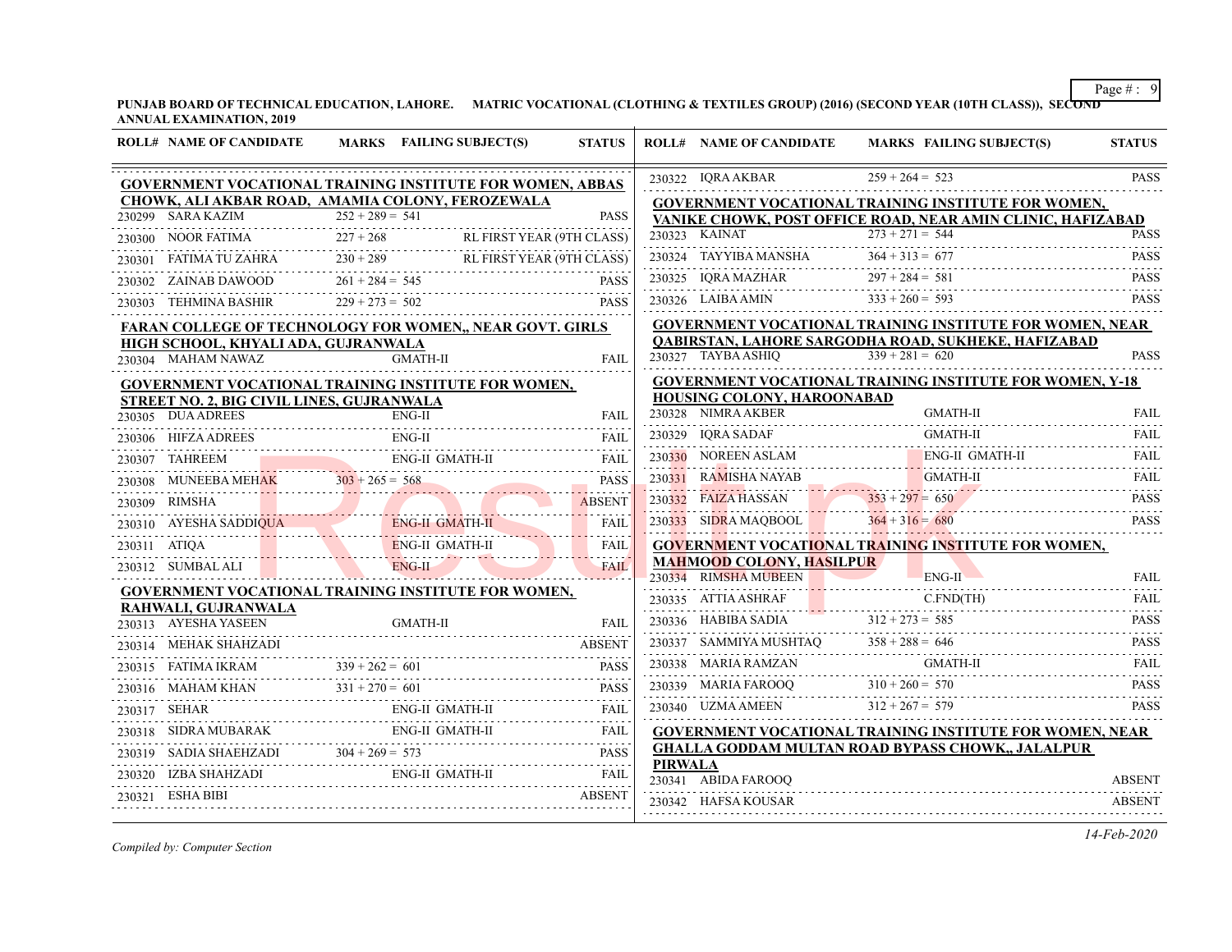**PUNJAB BOARD OF TECHNICAL EDUCATION, LAHORE. MATRIC VOCATIONAL (CLOTHING & TEXTILES GROUP) (2016) (SECOND YEAR (10TH CLASS)), SECOND ANNUAL EXAMINATION, 2019**

|        | <b>ROLL# NAME OF CANDIDATE</b>            | MARKS FAILING SUBJECT(S)                                                                | <b>STATUS</b>                             |                | <b>ROLL# NAME OF CANDIDATE</b>                          | MARKS FAILING SUBJECT(S)                                                                                                                                                                                                                                                                                                                                                                       | <b>STATUS</b> |
|--------|-------------------------------------------|-----------------------------------------------------------------------------------------|-------------------------------------------|----------------|---------------------------------------------------------|------------------------------------------------------------------------------------------------------------------------------------------------------------------------------------------------------------------------------------------------------------------------------------------------------------------------------------------------------------------------------------------------|---------------|
|        |                                           | <b>GOVERNMENT VOCATIONAL TRAINING INSTITUTE FOR WOMEN, ABBAS</b>                        |                                           |                | 230322 IQRA AKBAR                                       | $259 + 264 = 523$                                                                                                                                                                                                                                                                                                                                                                              | <b>PASS</b>   |
|        |                                           | CHOWK, ALI AKBAR ROAD, AMAMIA COLONY, FEROZEWALA                                        |                                           |                |                                                         | GOVERNMENT VOCATIONAL TRAINING INSTITUTE FOR WOMEN,                                                                                                                                                                                                                                                                                                                                            |               |
|        | 230299 SARA KAZIM                         | $252 + 289 = 541$                                                                       | <b>PASS</b>                               |                |                                                         | VANIKE CHOWK, POST OFFICE ROAD, NEAR AMIN CLINIC, HAFIZABAD                                                                                                                                                                                                                                                                                                                                    |               |
|        | 230300 NOOR FATIMA                        | DR FATIMA 227 + 268 RL FIRST YEAR (9TH CLASS)                                           |                                           |                | 230323 KAINAT                                           | $273 + 271 = 544$                                                                                                                                                                                                                                                                                                                                                                              | <b>PASS</b>   |
| 230301 |                                           | 0301 FATIMA TU ZAHRA 230 + 289 RL FIRST YEAR (9TH CLASS)                                |                                           |                | 230324 TAYYIBA MANSHA                                   | $364 + 313 = 677$                                                                                                                                                                                                                                                                                                                                                                              | <b>PASS</b>   |
|        |                                           | 230302 ZAINAB DAWOOD $261 + 284 = 545$ PASS                                             | <b>PASS</b>                               |                | 230325 IQRA MAZHAR                                      | $297 + 284 = 581$                                                                                                                                                                                                                                                                                                                                                                              | <b>PASS</b>   |
|        | 230303 TEHMINA BASHIR                     | $229 + 273 = 502$                                                                       | <b>PASS</b>                               |                | 230326 LAIBA AMIN                                       | $333 + 260 = 593$                                                                                                                                                                                                                                                                                                                                                                              | <b>PASS</b>   |
|        |                                           | FARAN COLLEGE OF TECHNOLOGY FOR WOMEN,, NEAR GOVT. GIRLS                                |                                           |                |                                                         | <b>GOVERNMENT VOCATIONAL TRAINING INSTITUTE FOR WOMEN, NEAR</b>                                                                                                                                                                                                                                                                                                                                |               |
|        | HIGH SCHOOL, KHYALI ADA, GUJRANWALA       |                                                                                         |                                           |                |                                                         | QABIRSTAN, LAHORE SARGODHA ROAD, SUKHEKE, HAFIZABAD                                                                                                                                                                                                                                                                                                                                            |               |
|        | 230304 MAHAM NAWAZ                        | <b>GMATH-II</b>                                                                         | <b>FAIL</b>                               |                | 230327 TAYBA ASHIQ                                      | $339 + 281 = 620$                                                                                                                                                                                                                                                                                                                                                                              | <b>PASS</b>   |
|        |                                           | GOVERNMENT VOCATIONAL TRAINING INSTITUTE FOR WOMEN,                                     |                                           |                |                                                         | <b>GOVERNMENT VOCATIONAL TRAINING INSTITUTE FOR WOMEN, Y-18</b>                                                                                                                                                                                                                                                                                                                                |               |
|        | STREET NO. 2, BIG CIVIL LINES, GUJRANWALA |                                                                                         |                                           |                | HOUSING COLONY, HAROONABAD<br>230328 NIMRA AKBER        | GMATH-II                                                                                                                                                                                                                                                                                                                                                                                       | <b>FAIL</b>   |
|        | 230305 DUA ADREES<br>DUA ADREES ENG-II    | ENG-II                                                                                  | <b>FAIL</b>                               |                | 230329 IQRA SADAF                                       | <b>GMATH-II</b>                                                                                                                                                                                                                                                                                                                                                                                | <b>FAIL</b>   |
|        | 230306 HIFZA ADREES                       | $ENG-II$                                                                                | FAIL                                      |                |                                                         | 230330 NOREEN ASLAM ENG-II GMATH-II                                                                                                                                                                                                                                                                                                                                                            | FAIL          |
| 230307 | TAHREEM                                   | ENG-II GMATH-II                                                                         | <b>FAIL</b>                               |                |                                                         |                                                                                                                                                                                                                                                                                                                                                                                                | .             |
| 230308 | MUNEEBA MEHAK $303 + 265 = 568$           |                                                                                         | <b>PASS</b><br><b><i><u>Lands</u></i></b> |                | 230331 RAMISHA NAYAB                                    | GMATH-II                                                                                                                                                                                                                                                                                                                                                                                       | FAIL          |
| 230309 | <b>RIMSHA</b><br>RIMSHA                   |                                                                                         | <b>ABSENT</b><br>.                        |                | 230332 FAIZA HASSAN                                     | $353 + 297 = 650$ PASS                                                                                                                                                                                                                                                                                                                                                                         |               |
|        | 230310 AYESHA SADDIQUA                    | ENG-II GMATH-II<br>. <del>.</del>                                                       | FAIL                                      |                | 230333 SIDRA MAQBOOL                                    | $364 + 316 = 680$                                                                                                                                                                                                                                                                                                                                                                              | <b>PASS</b>   |
|        | 230311 ATIQA                              | ENG-II GMATH-II<br>ENG-II GMATH-II                                                      | <b>FAIL</b><br>. <i>.</i>                 |                |                                                         | <b>GOVERNMENT VOCATIONAL TRAINING INSTITUTE FOR WOMEN,</b>                                                                                                                                                                                                                                                                                                                                     |               |
|        |                                           | 230312 SUMBALALI ENG-II                                                                 | <b>FAIL</b><br>. . <b>.</b>               |                | <b>MAHMOOD COLONY, HASILPUR</b><br>230334 RIMSHA MUBEEN | $ENG-II$                                                                                                                                                                                                                                                                                                                                                                                       | <b>FAIL</b>   |
|        |                                           | <b>GOVERNMENT VOCATIONAL TRAINING INSTITUTE FOR WOMEN,</b>                              |                                           |                |                                                         |                                                                                                                                                                                                                                                                                                                                                                                                | .             |
|        | RAHWALI, GUJRANWALA                       |                                                                                         |                                           |                |                                                         | $\begin{tabular}{llllllll} \multicolumn{2}{l}{{\textbf{230335}}}&{\textbf{ATTIA ASHRAF}}&{\textbf{C.FND(TH)}}&{\textbf{FALL}}\\ &{\textbf{230336}}&{\textbf{HABIBA SADIA}}&{\textbf{312 + 273 = 585}}&{\textbf{PASS}}\\ &{\textbf{313 + 273 = 585}}&{\textbf{PASS}}&\\ &{\textbf{230337}}&{\textbf{SAMMYA MUSHTAQ}}&{\textbf{358 + 288 = 646}}&{\textbf{PASS}}\\ &{\textbf{313 + 273 = 585}}&$ |               |
|        | 230313 AYESHA YASEEN                      | GMATH-II<br>A YASEEN         GMATH-II           FAIL                                    | <b>FAIL</b>                               |                |                                                         |                                                                                                                                                                                                                                                                                                                                                                                                |               |
|        | 230314 MEHAK SHAHZADI                     |                                                                                         | ABSENT                                    |                |                                                         |                                                                                                                                                                                                                                                                                                                                                                                                |               |
|        | 230315 FATIMA IKRAM $339 + 262 = 601$     | $239 + 262 = 601$ PASS                                                                  |                                           |                | 230338 MARIA RAMZAN                                     | GMATH-II                                                                                                                                                                                                                                                                                                                                                                                       | FAIL          |
| 230316 |                                           | $331 + 270 = 601$<br>MAHAM KHAN $331 + 270 = 601$ PASS                                  |                                           |                |                                                         | 230339 MARIA FAROOQ 310 + 260 = 570                                                                                                                                                                                                                                                                                                                                                            | <b>PASS</b>   |
| 230317 | SEHAR                                     |                                                                                         | FAIL                                      |                | 230340 UZMA AMEEN                                       | $312 + 267 = 579$                                                                                                                                                                                                                                                                                                                                                                              | <b>PASS</b>   |
|        |                                           | 230318 SIDRA MUBARAK ENG-II GMATH-II FAIL                                               |                                           |                |                                                         | <b>GOVERNMENT VOCATIONAL TRAINING INSTITUTE FOR WOMEN, NEAR</b>                                                                                                                                                                                                                                                                                                                                |               |
|        |                                           | 230319 SADIA SHAEHZADI $304 + 269 = 573$ PASS                                           |                                           |                |                                                         | <b>GHALLA GODDAM MULTAN ROAD BYPASS CHOWK,, JALALPUR</b>                                                                                                                                                                                                                                                                                                                                       |               |
| 230320 |                                           | $\begin{tabular}{ll} \bf IZBA SHAHZADI & \bf ENG-II\ GAMATH-II \\ \hline \end{tabular}$ | FAIL                                      | <b>PIRWALA</b> | 230341 ABIDA FAROOQ                                     |                                                                                                                                                                                                                                                                                                                                                                                                | <b>ABSENT</b> |
| 230321 | ESHA BIBI                                 |                                                                                         | <b>ABSENT</b>                             |                |                                                         |                                                                                                                                                                                                                                                                                                                                                                                                |               |
|        |                                           |                                                                                         |                                           |                | 230342 HAFSA KOUSAR                                     |                                                                                                                                                                                                                                                                                                                                                                                                | ABSENT        |

*Compiled by: Computer Section*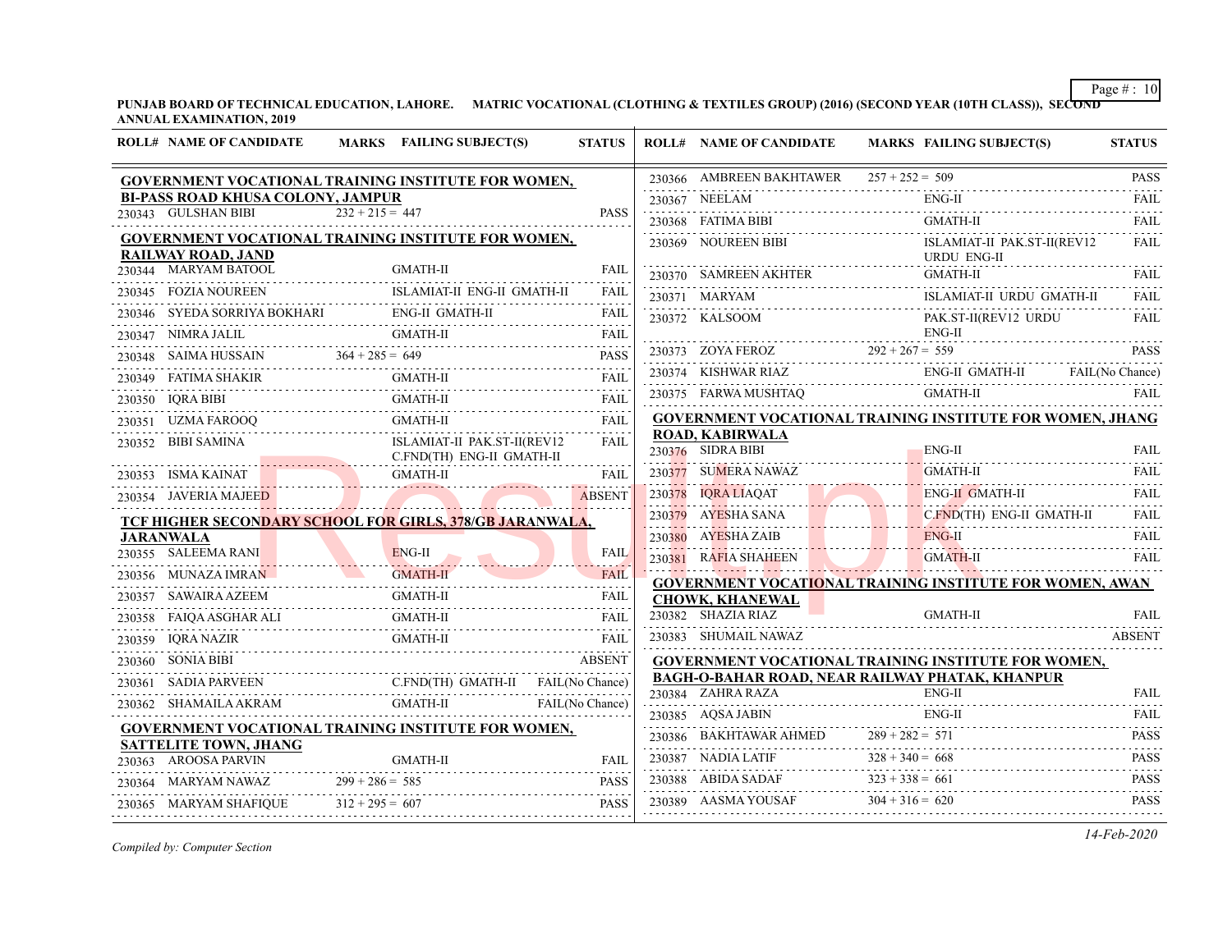**PUNJAB BOARD OF TECHNICAL EDUCATION, LAHORE. MATRIC VOCATIONAL (CLOTHING & TEXTILES GROUP) (2016) (SECOND YEAR (10TH CLASS)), SECOND ANNUAL EXAMINATION, 2019**

| <b>ROLL# NAME OF CANDIDATE</b>                       | MARKS FAILING SUBJECT(S)                                                             | <b>STATUS</b> | <b>ROLL# NAME OF CANDIDATE</b>                                              |                                        | <b>MARKS FAILING SUBJECT(S)</b>                                 | <b>STATUS</b>              |
|------------------------------------------------------|--------------------------------------------------------------------------------------|---------------|-----------------------------------------------------------------------------|----------------------------------------|-----------------------------------------------------------------|----------------------------|
|                                                      | GOVERNMENT VOCATIONAL TRAINING INSTITUTE FOR WOMEN,                                  |               | 230366 AMBREEN BAKHTAWER $257 + 252 = 509$                                  |                                        |                                                                 | <b>PASS</b>                |
| <b>BI-PASS ROAD KHUSA COLONY, JAMPUR</b>             |                                                                                      |               | 230367 NEELAM                                                               |                                        | $ENG-II$                                                        | .<br><b>FAIL</b>           |
| 230343 GULSHAN BIBI                                  | $232 + 215 = 447$                                                                    | <b>PASS</b>   | 230368 FATIMA BIBI                                                          |                                        | <b>GMATH-II</b>                                                 | <b>FAIL</b>                |
| <b>RAILWAY ROAD, JAND</b>                            | <b>GOVERNMENT VOCATIONAL TRAINING INSTITUTE FOR WOMEN,</b>                           |               | 230369 NOUREEN BIBI                                                         |                                        | ISLAMIAT-II PAK.ST-II(REV12<br><b>URDU ENG-II</b>               | <b>FAIL</b>                |
| 230344 MARYAM BATOOL                                 | <b>GMATH-II</b>                                                                      | <b>FAIL</b>   | 230370 SAMREEN AKHTER                                                       |                                        | <b>GMATH-II</b>                                                 | FAIL                       |
| 230345 FOZIA NOUREEN                                 | ISLAMIAT-II ENG-II GMATH-II                                                          | FAIL<br>.     | 230371 MARYAM                                                               |                                        | ISLAMIAT-II URDU GMATH-II                                       | <b>FAIL</b>                |
|                                                      | 230346 SYEDA SORRIYA BOKHARI ENG-II GMATH-II                                         | FAIL          | 230372 KALSOOM                                                              |                                        | PAK.ST-II(REV12 URDU                                            | <b>FAIL</b>                |
| 230347 NIMRA JALIL                                   | <b>GMATH-II</b>                                                                      | FAIL          |                                                                             |                                        | $ENG-II$                                                        |                            |
| 230348 SAIMA HUSSAIN $364 + 285 = 649$               |                                                                                      | <b>PASS</b>   | 230373 ZOYA FEROZ $292 + 267 = 559$                                         |                                        |                                                                 | <b>PASS</b>                |
|                                                      | <b>GMATH-II</b>                                                                      | FAIL          |                                                                             |                                        | 230374 KISHWAR RIAZ ENG-II GMATH-II FAIL (No Chance)            |                            |
| 230350 IQRA BIBI                                     | GMATH-II                                                                             | <b>FAIL</b>   | 230375 FARWA MUSHTAQ                                                        |                                        | GMATH-II                                                        | <b>FAIL</b>                |
| 230351 UZMA FAROOQ                                   | <b>GMATH-II</b>                                                                      | <b>FAIL</b>   |                                                                             |                                        | GOVERNMENT VOCATIONAL TRAINING INSTITUTE FOR WOMEN, JHANG       |                            |
| 230352 BIBI SAMINA                                   | ISLAMIAT-II PAK.ST-II(REV12<br>C.FND(TH) ENG-II GMATH-II                             | .<br>FAIL     | <b>ROAD, KABIRWALA</b><br>230376 SIDRA BIBI                                 |                                        | ENG-II                                                          | <b>FAIL</b>                |
| 230353 ISMA KAINAT                                   | <b>GMATH-II</b>                                                                      | <b>FAIL</b>   | 230377 SUMERA NAWAZ                                                         |                                        | <b>GMATH-II</b>                                                 | FAIL                       |
| 230354 JAVERIA MAJEED                                |                                                                                      | <b>ABSENT</b> | 230378 IQRA LIAQAT                                                          |                                        | ENG-II GMATH-II                                                 | FAII.                      |
|                                                      | TCF HIGHER SECONDARY SCHOOL FOR GIRLS, 378/GB JARANWALA,                             |               | 230379 AYESHA SANA                                                          |                                        | C.FND(TH) ENG-II GMATH-II                                       | <b>FAIL</b>                |
| <b>JARANWALA</b>                                     |                                                                                      |               | 230380 AYESHA ZAIB                                                          |                                        | <b>ENG-II</b><br>1. <del>.</del>                                | FAIL                       |
| 230355 SALEEMA RANI                                  | ENG-II                                                                               | <b>FAIL</b>   | 230381 RAFIA SHAHEEN                                                        |                                        | <b>GMATH-II</b>                                                 | FAII.                      |
| 230356 MUNAZA IMRAN                                  | <b>GMATH-II</b>                                                                      | <b>FAIL</b>   |                                                                             |                                        | <b>GOVERNMENT VOCATIONAL TRAINING INSTITUTE FOR WOMEN, AWAN</b> |                            |
| 230357 SAWAIRA AZEEM                                 | GMATH-II                                                                             | FAIL          | <b>CHOWK, KHANEWAL</b>                                                      |                                        |                                                                 |                            |
|                                                      | GMATH-II<br>230358 FAIQA ASGHAR ALI GMATH-II FAIL                                    | <b>FAIL</b>   | 230382 SHAZIA RIAZ                                                          |                                        | <b>GMATH-II</b>                                                 | FAIL                       |
| 230359 IQRA NAZIR                                    | <b>GMATH-II</b>                                                                      | FAIL          | 230383 SHUMAIL NAWAZ                                                        |                                        |                                                                 | <b>ABSENT</b>              |
| 230360 SONIA BIBI                                    |                                                                                      | <b>ABSENT</b> |                                                                             |                                        | <b>GOVERNMENT VOCATIONAL TRAINING INSTITUTE FOR WOMEN,</b>      |                            |
|                                                      | C.FND(TH) GMATH-II FAIL(No Chance)<br>230362 SHAMAILA AKRAM GMATH-II FAIL(No Chance) |               | <b>BAGH-O-BAHAR ROAD, NEAR RAILWAY PHATAK, KHANPUR</b><br>230384 ZAHRA RAZA |                                        | $ENG-II$                                                        | <b>FAIL</b>                |
|                                                      |                                                                                      |               |                                                                             |                                        | $ENG-II$                                                        | FAII.                      |
|                                                      | <b>GOVERNMENT VOCATIONAL TRAINING INSTITUTE FOR WOMEN,</b>                           |               | 230385 AQSA JABIN                                                           |                                        |                                                                 |                            |
| <b>SATTELITE TOWN, JHANG</b><br>230363 AROOSA PARVIN | <b>GMATH-II</b>                                                                      | <b>FAIL</b>   | 230386 BAKHTAWAR AHMED<br>230387 NADIA LATIF                                | $289 + 282 = 571$<br>$328 + 340 = 668$ |                                                                 | <b>PASS</b><br><b>PASS</b> |
| 230364 MARYAM NAWAZ                                  | $299 + 286 = 585$                                                                    | <b>PASS</b>   | 230388 ABIDA SADAF                                                          | $323 + 338 = 661$                      |                                                                 | <b>PASS</b>                |
| 230365 MARYAM SHAFIQUE                               | $312 + 295 = 607$                                                                    | <b>PASS</b>   | 230389 AASMA YOUSAF                                                         | $304 + 316 = 620$                      |                                                                 | <b>PASS</b>                |
|                                                      |                                                                                      |               |                                                                             |                                        |                                                                 |                            |

*Compiled by: Computer Section*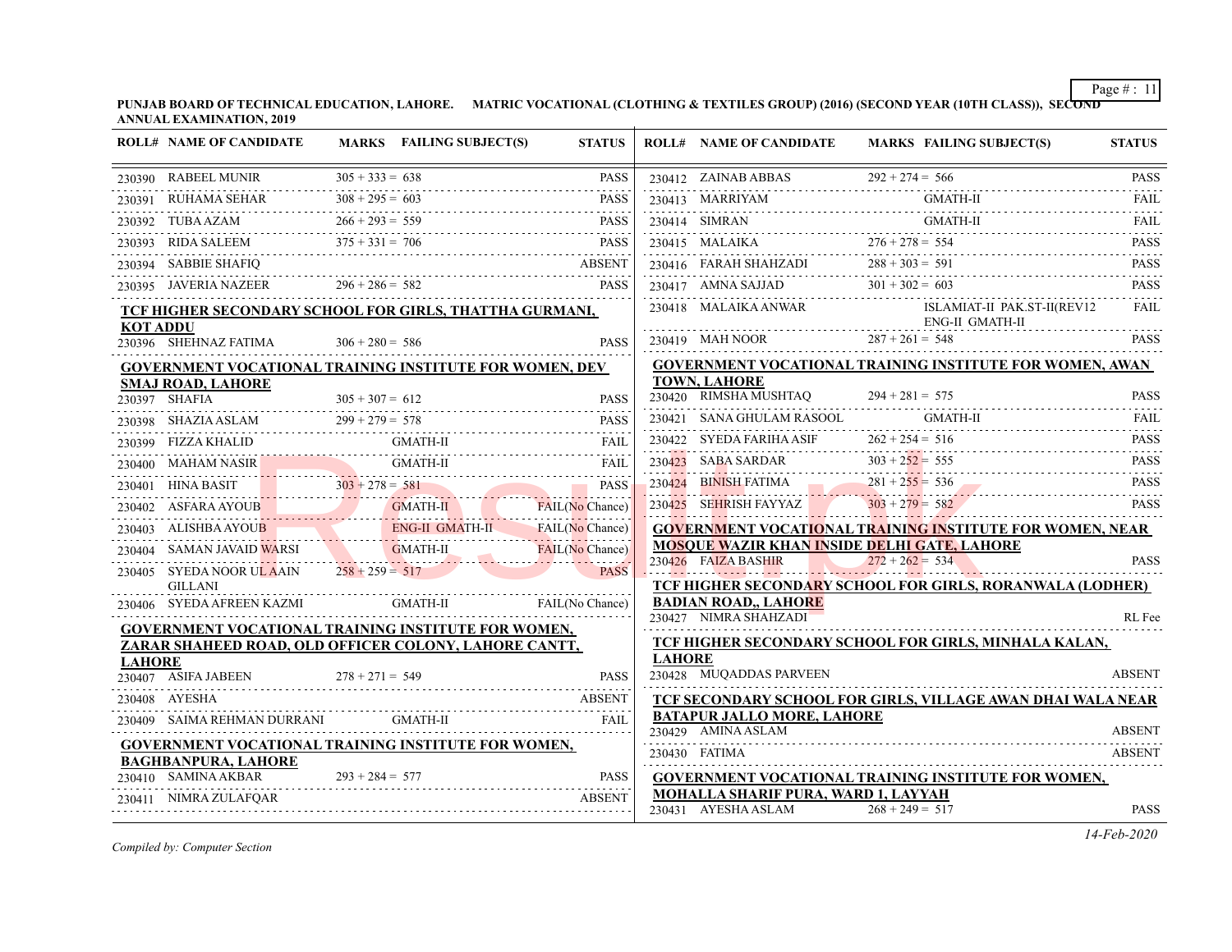**PUNJAB BOARD OF TECHNICAL EDUCATION, LAHORE. MATRIC VOCATIONAL (CLOTHING & TEXTILES GROUP) (2016) (SECOND YEAR (10TH CLASS)), SECOND ANNUAL EXAMINATION, 2019**

|                 | <b>ROLL# NAME OF CANDIDATE</b>                                 |                   | MARKS FAILING SUBJECT(S)  | <b>STATUS</b>          |               | <b>ROLL# NAME OF CANDIDATE</b>                          | MARKS FAILING SUBJECT(S)                                                                                                                               | <b>STATUS</b> |
|-----------------|----------------------------------------------------------------|-------------------|---------------------------|------------------------|---------------|---------------------------------------------------------|--------------------------------------------------------------------------------------------------------------------------------------------------------|---------------|
|                 | 230390 RABEEL MUNIR $305 + 333 = 638$                          |                   |                           | <b>PASS</b>            |               |                                                         | 230412 ZAINAB ABBAS $292 + 274 = 566$ PASS<br>$292 + 274 = 566$                                                                                        |               |
|                 | 230391 RUHAMA SEHAR $308 + 295 = 603$                          |                   |                           | <b>PASS</b>            |               | 230413 MARRIYAM                                         | GMATH-II                                                                                                                                               | FAII.         |
|                 | 230392 TUBA AZAM $266 + 293 = 559$ PASS                        |                   |                           | PASS                   |               |                                                         | 230414 SIMRAN GMATH-II                                                                                                                                 | <b>FAIL</b>   |
|                 | 230393 RIDA SALEEM $375 + 331 = 706$ PASS                      |                   |                           |                        |               |                                                         | $230415$ MALAIKA $276 + 278 = 554$ PASS                                                                                                                |               |
|                 | 230394 SABBIE SHAFIQ ABSENT                                    |                   |                           |                        |               |                                                         | 230416 FARAH SHAHZADI $288 + 303 = 591$                                                                                                                | <b>PASS</b>   |
|                 | 230395 JAVERIA NAZEER 296 + 286 = 582 PASS                     |                   |                           | <b>PASS</b>            |               |                                                         | 230417 AMNA SAJJAD $301 + 302 = 603$                                                                                                                   | <b>PASS</b>   |
| <b>KOT ADDU</b> | TCF HIGHER SECONDARY SCHOOL FOR GIRLS, THATTHA GURMANI,        |                   |                           |                        |               |                                                         | $\begin{tabular}{lllllllll} 230418 & \text{MALAIKA ANWAR} & & & & \text{ISLAMIAT-II PAKST-II(REV12)}\\ & & & \text{ENG-II GMATHI} & & & \end{tabular}$ | FAIL          |
|                 | 230396 SHEHNAZ FATIMA $306 + 280 = 586$                        |                   |                           | <b>PASS</b>            |               | 230419 MAH NOOR $287 + 261 = 548$                       |                                                                                                                                                        | <b>PASS</b>   |
|                 | <b>GOVERNMENT VOCATIONAL TRAINING INSTITUTE FOR WOMEN, DEV</b> |                   |                           |                        |               |                                                         | <b>GOVERNMENT VOCATIONAL TRAINING INSTITUTE FOR WOMEN, AWAN</b>                                                                                        |               |
|                 | <b>SMAJ ROAD, LAHORE</b><br>230397 SHAFIA                      |                   | IA $305 + 307 = 612$ PASS | <b>PASS</b>            |               | <b>TOWN, LAHORE</b><br>230420 RIMSHA MUSHTAQ            | $294 + 281 = 575$<br>$294 + 281 = 575$                                                                                                                 | <b>PASS</b>   |
|                 | 230398 SHAZIA ASLAM $299 + 279 = 578$                          |                   |                           | <b>PASS</b>            |               | 230421 SANA GHULAM RASOOL                               | GMATH-II                                                                                                                                               | FAIL          |
|                 | 230399    FIZZA KHALID    GMATH-II    FAIL    FAIL    FAIL     |                   |                           |                        |               | 230422 SYEDA FARIHA ASIF $262 + 254 = 516$              |                                                                                                                                                        | <b>PASS</b>   |
|                 | 230400 MAHAM NASIR GMATH-II FAIL FAIL                          |                   |                           | FAIL                   |               |                                                         |                                                                                                                                                        |               |
|                 | 230401 HINA BASIT $303 + 278 = 581$                            |                   |                           | <b>PASS</b>            |               |                                                         | 230423 SABA SARDAR 303 + 252 = 555 PASS<br>230424 BINISH FATIMA 281 + 255 = 536 PASS<br>BINISH FATIMA $281 + 255 = 536$ PASS                           |               |
|                 | 230402 ASFARA AYOUB GMATH-II FAIL(No Chance)                   |                   |                           |                        |               | 230425 SEHRISH FAYYAZ 303 + 279 = 582                   |                                                                                                                                                        | <b>PASS</b>   |
|                 | 230403 ALISHBA AYOUB ENG-II GMATH-II FAIL(No Chance)           |                   |                           |                        |               |                                                         | <b>GOVERNMENT VOCATIONAL TRAINING INSTITUTE FOR WOMEN, NEAR</b>                                                                                        |               |
|                 | 230404 SAMAN JAVAID WARSI GMATH-II                             |                   |                           | <b>FAIL(No Chance)</b> |               |                                                         | <b>MOSOUE WAZIR KHAN INSIDE DELHI GATE, LAHORE</b>                                                                                                     |               |
|                 | 230405 SYEDA NOOR ULAAIN $258 + 259 = 517$<br><b>GILLANI</b>   |                   |                           | <b>PASS</b>            |               |                                                         | $230426$ FAIZA BASHIR<br>$272 + 262 = 534$ PASS<br>TCF HIGHER SECONDARY SCHOOL FOR GIRLS, RORANWALA (LODHER)                                           | <b>PASS</b>   |
|                 | 230406 SYEDA AFREEN KAZMI GMATH-II                             |                   |                           | FAIL(No Chance)        |               | <b>BADIAN ROAD,, LAHORE</b>                             |                                                                                                                                                        |               |
|                 | <b>GOVERNMENT VOCATIONAL TRAINING INSTITUTE FOR WOMEN,</b>     |                   |                           |                        |               | 230427 NIMRA SHAHZADI                                   |                                                                                                                                                        | RL Fee        |
|                 | ZARAR SHAHEED ROAD, OLD OFFICER COLONY, LAHORE CANTT,          |                   |                           |                        |               |                                                         | <b>TCF HIGHER SECONDARY SCHOOL FOR GIRLS, MINHALA KALAN,</b>                                                                                           |               |
| <b>LAHORE</b>   | 230407 ASIFA JABEEN $278 + 271 = 549$                          |                   |                           | <b>PASS</b>            | <b>LAHORE</b> | 230428 MUQADDAS PARVEEN                                 |                                                                                                                                                        | <b>ABSENT</b> |
|                 | 230408 AYESHA                                                  |                   |                           | <b>ABSENT</b>          |               |                                                         | TCF SECONDARY SCHOOL FOR GIRLS, VILLAGE AWAN DHAI WALA NEAR                                                                                            |               |
|                 | 230409 SAIMA REHMAN DURRANI GMATH-II                           |                   |                           | <b>FAIL</b>            |               | <b>BATAPUR JALLO MORE, LAHORE</b><br>230429 AMINA ASLAM |                                                                                                                                                        | <b>ABSENT</b> |
|                 | <b>GOVERNMENT VOCATIONAL TRAINING INSTITUTE FOR WOMEN,</b>     |                   |                           |                        |               | 230430 FATIMA                                           |                                                                                                                                                        | <b>ABSENT</b> |
|                 | <b>BAGHBANPURA, LAHORE</b><br>230410 SAMINA AKBAR              | $293 + 284 = 577$ |                           | <b>PASS</b>            |               |                                                         | <b>GOVERNMENT VOCATIONAL TRAINING INSTITUTE FOR WOMEN,</b>                                                                                             |               |
|                 | 230411 NIMRA ZULAFQAR                                          |                   |                           | <b>ABSENT</b>          |               | <b>MOHALLA SHARIF PURA, WARD 1, LAYYAH</b>              |                                                                                                                                                        |               |
|                 |                                                                |                   |                           |                        |               | 230431 AYESHA ASLAM                                     | $268 + 249 = 517$                                                                                                                                      | <b>PASS</b>   |

*Compiled by: Computer Section*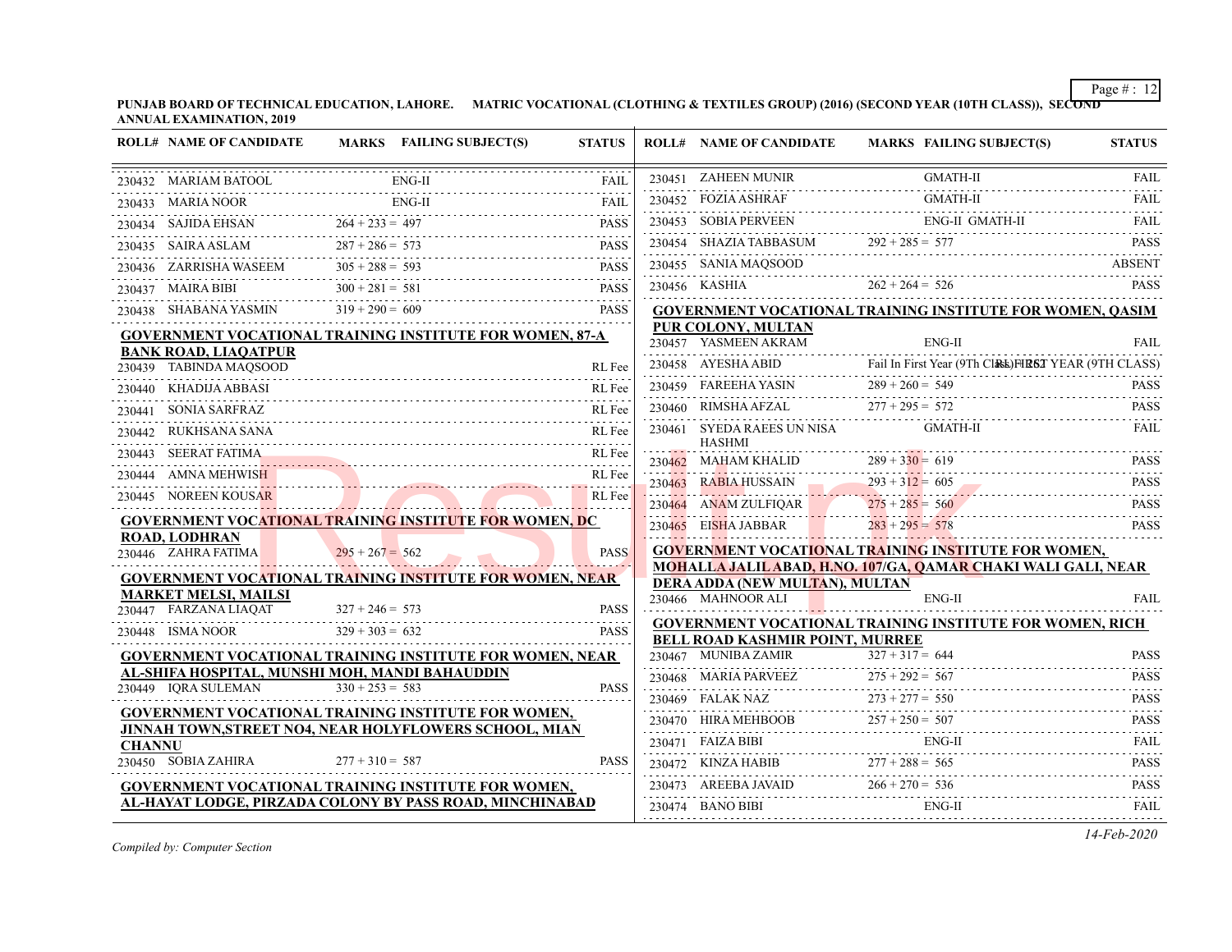**PUNJAB BOARD OF TECHNICAL EDUCATION, LAHORE. MATRIC VOCATIONAL (CLOTHING & TEXTILES GROUP) (2016) (SECOND YEAR (10TH CLASS)), SECOND ANNUAL EXAMINATION, 2019**

|               | <b>ROLL# NAME OF CANDIDATE</b>                                  |                   | <b>MARKS</b> FAILING SUBJECT(S) | <b>STATUS</b>               | <b>ROLL# NAME OF CANDIDATE</b>                                | MARKS FAILING SUBJECT(S)                                         | <b>STATUS</b>              |
|---------------|-----------------------------------------------------------------|-------------------|---------------------------------|-----------------------------|---------------------------------------------------------------|------------------------------------------------------------------|----------------------------|
|               | 230432 MARIAM BATOOL                                            |                   | $ENG-II$                        | <b>FAIL</b>                 | 230451 ZAHEEN MUNIR                                           | <b>GMATH-II</b>                                                  | <b>FAIL</b><br>.           |
|               | 230433 MARIA NOOR                                               |                   | $ENG-II$                        | $-2.5 - 2.5$<br><b>FAIL</b> | 230452 FOZIA ASHRAF                                           | <b>GMATH-II</b>                                                  | <b>FAIL</b>                |
|               | 230434 SAJIDA EHSAN                                             | $264 + 233 = 497$ |                                 | <b>PASS</b>                 | 230453 SOBIA PERVEEN                                          | <b>ENG-II GMATH-II</b>                                           | <b>FAIL</b>                |
|               | 230435 SAIRA ASLAM                                              | $287 + 286 = 573$ |                                 | <b>PASS</b>                 | 230454 SHAZIA TABBASUM                                        | $292 + 285 = 577$                                                | <b>PASS</b>                |
|               | 230436 ZARRISHA WASEEM                                          | $305 + 288 = 593$ |                                 | <b>PASS</b>                 | 230455 SANIA MAQSOOD                                          |                                                                  | <b>ABSENT</b>              |
|               | 230437 MAIRA BIBI                                               | $300 + 281 = 581$ |                                 | <b>PASS</b>                 | 230456 KASHIA                                                 | $262 + 264 = 526$                                                | <b>PASS</b>                |
|               | 230438 SHABANA YASMIN                                           | $319 + 290 = 609$ |                                 | .<br><b>PASS</b>            |                                                               | <b>GOVERNMENT VOCATIONAL TRAINING INSTITUTE FOR WOMEN, QASIM</b> |                            |
|               | GOVERNMENT VOCATIONAL TRAINING INSTITUTE FOR WOMEN, 87-A        |                   |                                 |                             | <b>PUR COLONY, MULTAN</b><br>230457 YASMEEN AKRAM             | $ENG-II$                                                         | <b>FAIL</b>                |
|               | <b>BANK ROAD, LIAQATPUR</b><br>230439 TABINDA MAQSOOD           |                   |                                 | RL Fee                      | 230458 AYESHA ABID                                            | Fail In First Year (9Th Cl&E) HR6T YEAR (9TH CLASS)              |                            |
| 230440        | KHADIJA ABBASI                                                  |                   |                                 | RL Fee                      | 230459 FAREEHA YASIN                                          | $289 + 260 = 549$                                                | <b>PASS</b>                |
| 230441        | <b>SONIA SARFRAZ</b>                                            |                   |                                 | RL Fee                      | 230460 RIMSHA AFZAL                                           | $277 + 295 = 572$                                                | <b>PASS</b>                |
|               | 230442 RUKHSANA SANA                                            |                   |                                 | RL Fee                      | 230461 SYEDA RAEES UN NISA<br><b>HASHMI</b>                   | <b>GMATH-II</b>                                                  | <b>FAIL</b>                |
|               | 230443 SEERAT FATIMA                                            |                   |                                 | RL Fee                      | 230462 MAHAM KHALID                                           | $289 + 330 = 619$                                                | <b>PASS</b>                |
|               | 230444 AMNA MEHWISH                                             |                   |                                 | RL Fee                      | 230463 RABIA HUSSAIN                                          | $293 + 312 = 605$                                                | .<br><b>PASS</b>           |
|               | 230445 NOREEN KOUSAR                                            |                   |                                 | RL Fee                      | 230464 ANAM ZULFIQAR                                          | $275 + 285 = 560$                                                | .<br><b>PASS</b>           |
|               | <b>GOVERNMENT VOCATIONAL TRAINING INSTITUTE FOR WOMEN, DC</b>   |                   |                                 |                             | 230465 EISHA JABBAR                                           | $283 + 295 = 578$                                                | <b>PASS</b>                |
|               | <b>ROAD, LODHRAN</b><br>230446 ZAHRA FATIMA                     | $295 + 267 = 562$ |                                 | <b>PASS</b>                 |                                                               | <b>GOVERNMENT VOCATIONAL TRAINING INSTITUTE FOR WOMEN,</b>       |                            |
|               | <b>GOVERNMENT VOCATIONAL TRAINING INSTITUTE FOR WOMEN, NEAR</b> |                   |                                 |                             | DERA ADDA (NEW MULTAN), MULTAN                                | MOHALLA JALILABAD, H.NO. 107/GA, QAMAR CHAKI WALI GALI, NEAR     |                            |
|               | <b>MARKET MELSI, MAILSI</b><br>230447 FARZANA LIAQAT            | $327 + 246 = 573$ |                                 | <b>PASS</b>                 | 230466 MAHNOOR ALI                                            | ENG-II                                                           | FAIL                       |
|               | 230448 ISMA NOOR                                                | $329 + 303 = 632$ |                                 | .<br><b>PASS</b>            |                                                               | <b>GOVERNMENT VOCATIONAL TRAINING INSTITUTE FOR WOMEN, RICH</b>  |                            |
|               | GOVERNMENT VOCATIONAL TRAINING INSTITUTE FOR WOMEN, NEAR        |                   |                                 |                             | <b>BELL ROAD KASHMIR POINT, MURREE</b><br>230467 MUNIBA ZAMIR | $327 + 317 = 644$                                                | <b>PASS</b>                |
|               | AL-SHIFA HOSPITAL, MUNSHI MOH, MANDI BAHAUDDIN                  |                   |                                 |                             | 230468 MARIA PARVEEZ                                          | $275 + 292 = 567$                                                | <b>PASS</b>                |
|               | 230449 IQRA SULEMAN                                             | $330 + 253 = 583$ |                                 | <b>PASS</b>                 | 230469 FALAK NAZ                                              | $273 + 277 = 550$                                                | .<br><b>PASS</b>           |
|               | <b>GOVERNMENT VOCATIONAL TRAINING INSTITUTE FOR WOMEN,</b>      |                   |                                 |                             | 230470 HIRA MEHBOOB                                           | $257 + 250 = 507$                                                | .<br><b>PASS</b>           |
| <b>CHANNU</b> | JINNAH TOWN, STREET NO4, NEAR HOLYFLOWERS SCHOOL, MIAN          |                   |                                 |                             | 230471 FAIZA BIBI                                             | ${\rm ENG\text{-}II}$                                            | .<br><b>FAIL</b>           |
|               | 230450 SOBIA ZAHIRA                                             | $277 + 310 = 587$ |                                 | <b>PASS</b>                 | 230472 KINZA HABIB $277 + 288 = 565$                          |                                                                  | .<br><b>PASS</b>           |
|               | GOVERNMENT VOCATIONAL TRAINING INSTITUTE FOR WOMEN,             |                   |                                 |                             | 230473 AREEBA JAVAID                                          | $266 + 270 = 536$                                                | <b>PASS</b>                |
|               | AL-HAYAT LODGE, PIRZADA COLONY BY PASS ROAD, MINCHINABAD        |                   |                                 |                             | 230474 BANO BIBI                                              | $ENG-II$                                                         | a a a a a s<br><b>FAIL</b> |
|               |                                                                 |                   |                                 |                             |                                                               |                                                                  |                            |

*Compiled by: Computer Section*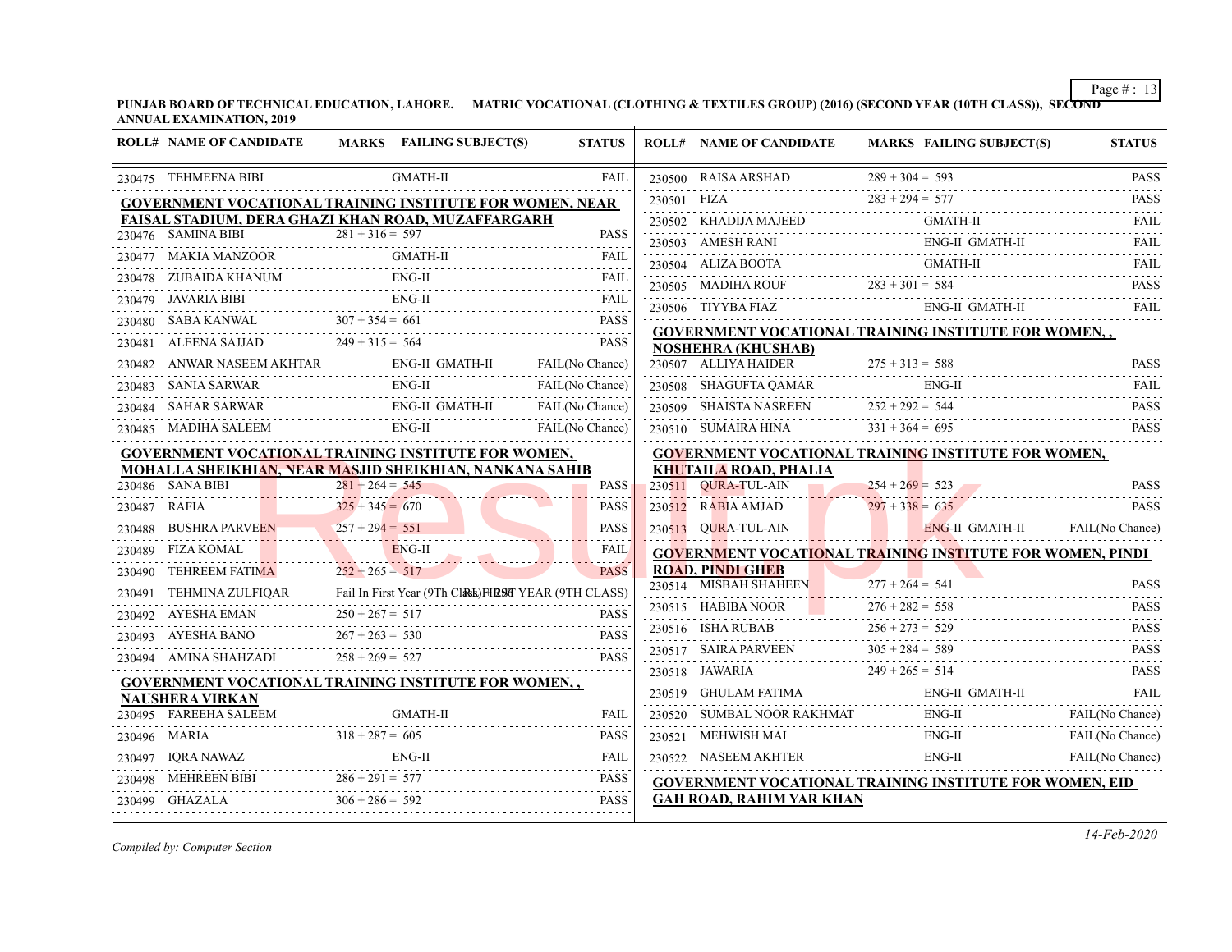**PUNJAB BOARD OF TECHNICAL EDUCATION, LAHORE. MATRIC VOCATIONAL (CLOTHING & TEXTILES GROUP) (2016) (SECOND YEAR (10TH CLASS)), SECOND ANNUAL EXAMINATION, 2019**

| <b>ROLL# NAME OF CANDIDATE</b>                    | MARKS FAILING SUBJECT(S)                                                                                                                                                                                                               | <b>STATUS</b>    |             | <b>ROLL# NAME OF CANDIDATE</b>                                   | MARKS FAILING SUBJECT(S)                                                                                                                                                                                                                                                                                                                                                                                                                                           | <b>STATUS</b>    |
|---------------------------------------------------|----------------------------------------------------------------------------------------------------------------------------------------------------------------------------------------------------------------------------------------|------------------|-------------|------------------------------------------------------------------|--------------------------------------------------------------------------------------------------------------------------------------------------------------------------------------------------------------------------------------------------------------------------------------------------------------------------------------------------------------------------------------------------------------------------------------------------------------------|------------------|
| 230475 TEHMEENA BIBI                              | <b>GMATH-II</b>                                                                                                                                                                                                                        | <b>FAIL</b>      |             |                                                                  | 230500 RAISA ARSHAD $289 + 304 = 593$ PASS                                                                                                                                                                                                                                                                                                                                                                                                                         |                  |
|                                                   | <b>GOVERNMENT VOCATIONAL TRAINING INSTITUTE FOR WOMEN, NEAR</b>                                                                                                                                                                        |                  | 230501 FIZA | $230501$ FIZA $283 + 294 = 577$                                  |                                                                                                                                                                                                                                                                                                                                                                                                                                                                    | <b>PASS</b>      |
|                                                   | FAISAL STADIUM, DERA GHAZI KHAN ROAD, MUZAFFARGARH                                                                                                                                                                                     |                  |             |                                                                  | GMATH-II<br>230502 KHADIJA MAJEED GMATH-II                                                                                                                                                                                                                                                                                                                                                                                                                         | <b>FAIL</b>      |
| 230476 SAMINA BIBI                                | $281 + 316 = 597$                                                                                                                                                                                                                      | <b>PASS</b><br>. |             |                                                                  | 230503 AMESH RANI ENG-II GMATH-II                                                                                                                                                                                                                                                                                                                                                                                                                                  | <b>FAIL</b>      |
|                                                   | GMATH-II                                                                                                                                                                                                                               |                  |             | 230504 ALIZA BOOTA                                               | GMATH-II                                                                                                                                                                                                                                                                                                                                                                                                                                                           | <b>FAIL</b>      |
| 230478 ZUBAIDA KHANUM ENG-II                      |                                                                                                                                                                                                                                        | <b>FAIL</b>      |             |                                                                  | 230505 MADIHA ROUF $283 + 301 = 584$ PASS                                                                                                                                                                                                                                                                                                                                                                                                                          |                  |
| 230479 JAVARIA BIBI                               | <b>ENG-II</b> FAIL FAIL FAIL                                                                                                                                                                                                           |                  |             | 230506 TIYYBA FIAZ                                               | ENG-II GMATH-II                                                                                                                                                                                                                                                                                                                                                                                                                                                    |                  |
|                                                   | $\begin{array}{ l l l }\hline 230480 & \text{SABA KANWAL} & 307 + 354 = 661 & \text{PASS} \\ \hline \end{array}$<br>$\begin{array}{ l l l }\hline 230481 & \text{ALEENA SAJJAD} & 249 + 315 = 564 & \text{PASS} \\ \hline \end{array}$ |                  |             |                                                                  | <b>GOVERNMENT VOCATIONAL TRAINING INSTITUTE FOR WOMEN,,</b>                                                                                                                                                                                                                                                                                                                                                                                                        |                  |
|                                                   |                                                                                                                                                                                                                                        |                  |             | <b>NOSHEHRA (KHUSHAB)</b>                                        |                                                                                                                                                                                                                                                                                                                                                                                                                                                                    |                  |
|                                                   | 230482 ANWAR NASEEM AKHTAR ENG-II GMATH-II FAIL(No Chance)                                                                                                                                                                             |                  |             |                                                                  | 230507 ALLIYA HAIDER $275 + 313 = 588$                                                                                                                                                                                                                                                                                                                                                                                                                             | <b>PASS</b><br>. |
|                                                   | 230483 SANIA SARWAR ENG-II FAIL(No Chance)                                                                                                                                                                                             |                  |             |                                                                  | 230508 SHAGUFTA QAMAR ENG-II FAIL FAIL                                                                                                                                                                                                                                                                                                                                                                                                                             |                  |
|                                                   | 230484 SAHAR SARWAR ENG-II GMATH-II FAIL(No Chance)                                                                                                                                                                                    |                  |             | 230509 SHAISTA NASREEN $252 + 292 = 544$                         |                                                                                                                                                                                                                                                                                                                                                                                                                                                                    | <b>PASS</b>      |
| 230485 MADIHA SALEEM<br>1<br>-------------------- | $ENG-II$<br>$ENG-II$                                                                                                                                                                                                                   | FAIL(No Chance)  |             | 230510 SUMAIRA HINA $331 + 364 = 695$                            |                                                                                                                                                                                                                                                                                                                                                                                                                                                                    | <b>PASS</b>      |
|                                                   | GOVERNMENT VOCATIONAL TRAINING INSTITUTE FOR WOMEN,                                                                                                                                                                                    |                  |             |                                                                  | GOVERNMENT VOCATIONAL TRAINING INSTITUTE FOR WOMEN,                                                                                                                                                                                                                                                                                                                                                                                                                |                  |
|                                                   | MOHALLA SHEIKHIAN, NEAR MASJID SHEIKHIAN, NANKANA SAHIB                                                                                                                                                                                |                  |             | <b>KHUTAILA ROAD, PHALIA</b>                                     |                                                                                                                                                                                                                                                                                                                                                                                                                                                                    |                  |
| 230486 SANA BIBI                                  | $281 + 264 = 545$                                                                                                                                                                                                                      | <b>PASS</b>      |             | $254 + 269 = 523$                                                |                                                                                                                                                                                                                                                                                                                                                                                                                                                                    | <b>PASS</b>      |
|                                                   |                                                                                                                                                                                                                                        | <b>PASS</b>      |             |                                                                  | $230512$ RABIA AMJAD $297 + 338 = 635$ PASS PASS PRESS PRESS PRESS PRESS PRESS PRESS PRESS PRESS PRESS PRESS PRESS PRESS PRESS PRESS PRESS PRESS PRESS PRESS PRESS PRESS PRESS PRESS PRESS PRESS PRESS PRESS PRESS PRESS PRESS                                                                                                                                                                                                                                     |                  |
|                                                   | $230487 \t\t RAFIA$ $230488 \t\t BUSHRA PARKUEDN 257 + 294 = 551$ $230489 \t\t FZA VOMAI$ $230480 \t\t FZA VOMAI$                                                                                                                      | <b>PASS</b>      |             |                                                                  | 230513 QURA-TUL-AIN ENG-II GMATH-II FAIL (No Chance)                                                                                                                                                                                                                                                                                                                                                                                                               |                  |
|                                                   | 230489 FIZA KOMAL ENG-II                                                                                                                                                                                                               | <b>FAIL</b>      |             |                                                                  | <b>GOVERNMENT VOCATIONAL TRAINING INSTITUTE FOR WOMEN, PINDI</b>                                                                                                                                                                                                                                                                                                                                                                                                   |                  |
| 230490 TEHREEM FATIMA $252 + 265 = 517$           |                                                                                                                                                                                                                                        | <b>PASS</b>      |             | <b>ROAD, PINDI GHEB</b><br>230514 MISBAH SHAHEEN 277 + 264 = 541 |                                                                                                                                                                                                                                                                                                                                                                                                                                                                    | <b>PASS</b>      |
|                                                   | 230491 TEHMINA ZULFIQAR Fail In First Year (9Th Class) HEST YEAR (9TH CLASS)                                                                                                                                                           |                  |             |                                                                  |                                                                                                                                                                                                                                                                                                                                                                                                                                                                    |                  |
| 230492 AYESHA EMAN                                | $250 + 267 = 517$                                                                                                                                                                                                                      | <b>PASS</b>      |             |                                                                  | 230515 HABIBA NOOR 276 + 282 = 558 PASS                                                                                                                                                                                                                                                                                                                                                                                                                            |                  |
|                                                   | $267 + 263 = 530$<br>PASS AYESHA BANO $267 + 263 = 530$                                                                                                                                                                                |                  |             |                                                                  | $230516 \quad \text{ISHA RUBAB} \qquad 256 + 273 = 529 \qquad \text{Pass} \qquad \text{BASS} \qquad \text{BASS} \qquad \text{BASS} \qquad \text{BASS} \qquad \text{BASS} \qquad \text{BASS} \qquad \text{BASS} \qquad \text{BASS} \qquad \text{BASS} \qquad \text{BASS} \qquad \text{BASS} \qquad \text{BASS} \qquad \text{BASS} \qquad \text{BASS} \qquad \text{BASS} \qquad \text{BASS} \qquad \text{BASS} \qquad \text{BASS} \qquad \text{BASS} \qquad \text{B$ |                  |
| 230494 AMINA SHAHZADI $258 + 269 = 527$           |                                                                                                                                                                                                                                        | <b>PASS</b>      |             |                                                                  |                                                                                                                                                                                                                                                                                                                                                                                                                                                                    |                  |
|                                                   | <u>GOVERNMENT VOCATIONAL TRAINING INSTITUTE FOR WOMEN, , </u>                                                                                                                                                                          |                  |             |                                                                  | 230518 JAWARIA 249 + 265 = 514 PASS                                                                                                                                                                                                                                                                                                                                                                                                                                |                  |
| <b>NAUSHERA VIRKAN</b>                            |                                                                                                                                                                                                                                        |                  |             |                                                                  |                                                                                                                                                                                                                                                                                                                                                                                                                                                                    |                  |
|                                                   | $\begin{tabular}{ c  c  c c c c} \hline 230495 & FAREHA SALEEM & GMATH-II & FAIL \\ \hline 230495 & FAREHA SALEEM & 318 + 287 = 605 & PASS \\ \hline 230497 & IQRANAWAZ & ENG-II & FAIL \\ \hline \end{tabular}$                       |                  |             |                                                                  | ENG-II GMATH-II FAIL FAIL FAIL FAIL PROPERTY AND REAL PROPERTY AND THE PROPERTY OF THE PROPERTY CONTRACT PROPERTY OF THE PROPERTY OF THE PROPERTY OF THE PROPERTY OF THE PROPERTY OF THE PROPERTY OF THE PROPERTY OF THE PROPE                                                                                                                                                                                                                                     |                  |
|                                                   |                                                                                                                                                                                                                                        |                  |             |                                                                  | $\begin{tabular}{cc} 230521 \quad MEHWISH MAI & ENG-II \\ 230522 \quad NASEEM AKHTER & ENG-II & FAIL(No Chance) \\ \end{tabular}$                                                                                                                                                                                                                                                                                                                                  |                  |
|                                                   |                                                                                                                                                                                                                                        |                  |             |                                                                  |                                                                                                                                                                                                                                                                                                                                                                                                                                                                    |                  |
|                                                   | 230498 MEHREEN BIBI $286 + 291 = 577$                                                                                                                                                                                                  | <b>PASS</b>      |             |                                                                  | <b>GOVERNMENT VOCATIONAL TRAINING INSTITUTE FOR WOMEN, EID</b>                                                                                                                                                                                                                                                                                                                                                                                                     |                  |
| 230499 GHAZALA                                    | $306 + 286 = 592$                                                                                                                                                                                                                      | <b>PASS</b>      |             | <b>GAH ROAD, RAHIM YAR KHAN</b>                                  |                                                                                                                                                                                                                                                                                                                                                                                                                                                                    |                  |
|                                                   |                                                                                                                                                                                                                                        |                  |             |                                                                  |                                                                                                                                                                                                                                                                                                                                                                                                                                                                    |                  |

*Compiled by: Computer Section*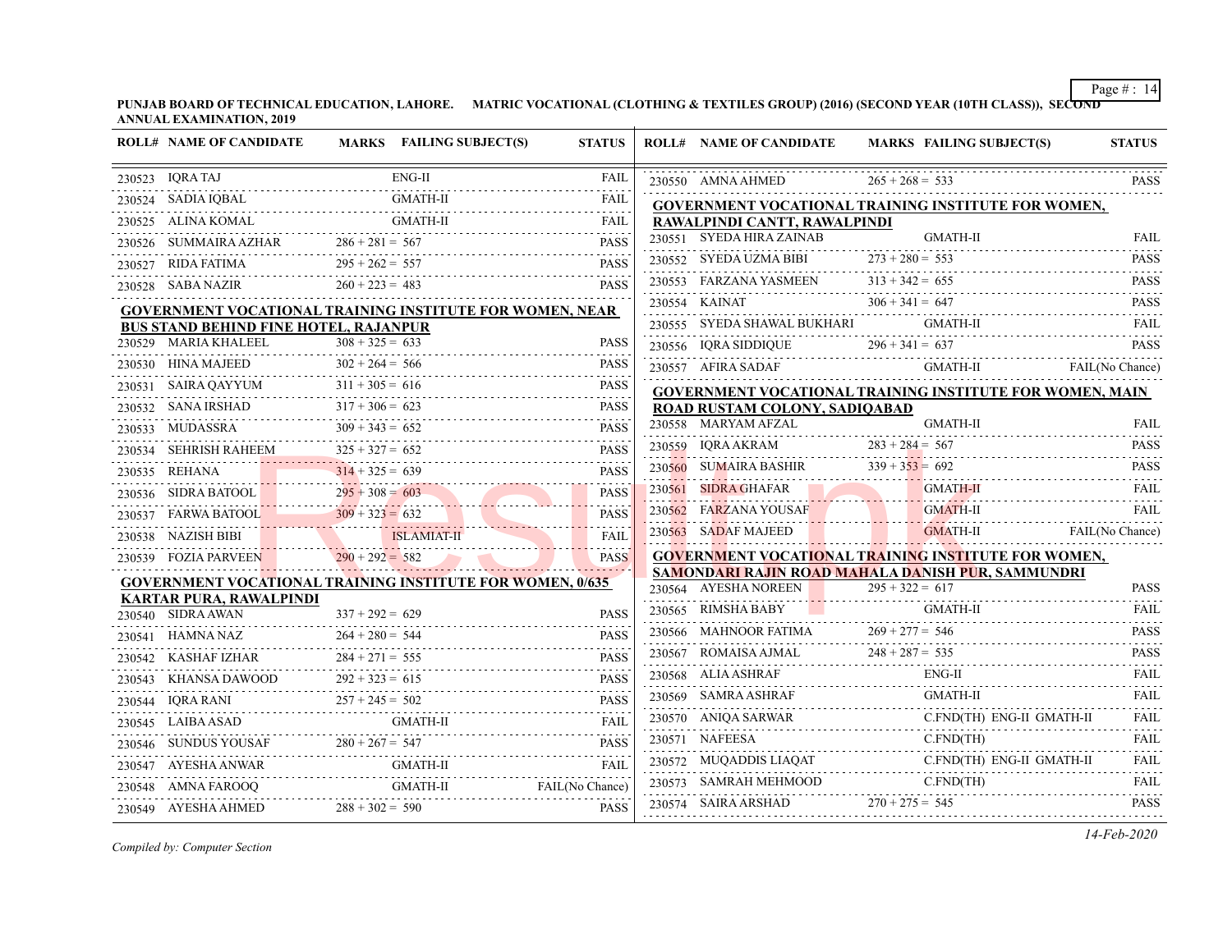**PUNJAB BOARD OF TECHNICAL EDUCATION, LAHORE. MATRIC VOCATIONAL (CLOTHING & TEXTILES GROUP) (2016) (SECOND YEAR (10TH CLASS)), SECOND ANNUAL EXAMINATION, 2019**

|                                                                  | <b>ROLL# NAME OF CANDIDATE</b>               | MARKS FAILING SUBJECT(S)                                        | <b>STATUS</b>             |                                                                        | <b>ROLL# NAME OF CANDIDATE</b>                                  |                   | <b>MARKS FAILING SUBJECT(S)</b>           | <b>STATUS</b>                |
|------------------------------------------------------------------|----------------------------------------------|-----------------------------------------------------------------|---------------------------|------------------------------------------------------------------------|-----------------------------------------------------------------|-------------------|-------------------------------------------|------------------------------|
|                                                                  | 230523 IQRA TAJ                              | $ENG-II$                                                        | <b>FAIL</b>               |                                                                        | 230550 AMNA AHMED                                               | $265 + 268 = 533$ |                                           | <b>PASS</b>                  |
|                                                                  | 230524 SADIA IQBAL                           | <b>GMATH-II</b>                                                 | FAIL                      |                                                                        | <b>GOVERNMENT VOCATIONAL TRAINING INSTITUTE FOR WOMEN,</b>      |                   |                                           |                              |
|                                                                  | 230525 ALINA KOMAL                           |                                                                 | <b>FAIL</b>               |                                                                        | RAWALPINDI CANTT, RAWALPINDI                                    |                   |                                           |                              |
|                                                                  | 230526 SUMMAIRA AZHAR                        | $286 + 281 = 567$                                               | <b>PASS</b>               |                                                                        | 230551 SYEDA HIRA ZAINAB                                        |                   | GMATH-II                                  | FAIL                         |
|                                                                  | 230527 RIDA FATIMA                           | $295 + 262 = 557$                                               | <b>PASS</b>               |                                                                        | 230552 SYEDA UZMA BIBI $273 + 280 = 553$                        |                   |                                           | <b>PASS</b>                  |
|                                                                  | 230528 SABA NAZIR                            | $260 + 223 = 483$                                               | <b>PASS</b>               |                                                                        | 230553 FARZANA YASMEEN $313 + 342 = 655$                        |                   |                                           | <b>PASS</b><br>.             |
|                                                                  |                                              | <b>GOVERNMENT VOCATIONAL TRAINING INSTITUTE FOR WOMEN, NEAR</b> |                           |                                                                        | 230554 KAINAT                                                   |                   |                                           |                              |
|                                                                  | <b>BUS STAND BEHIND FINE HOTEL, RAJANPUR</b> |                                                                 |                           |                                                                        | 230555 SYEDA SHAWAL BUKHARI                                     |                   |                                           | FAIL                         |
|                                                                  | 230529 MARIA KHALEEL                         | $308 + 325 = 633$                                               | <b>PASS</b>               |                                                                        | 230556 IQRA SIDDIQUE $296 + 341 = 637$ PASS                     |                   |                                           |                              |
|                                                                  | 230530 HINA MAJEED                           | $302 + 264 = 566$                                               | <b>PASS</b>               |                                                                        | 230557 AFIRA SADAF                                              |                   | GMATH-II FAIL(No Chance)                  |                              |
|                                                                  | 230531 SAIRA QAYYUM 3                        | $311 + 305 = 616$                                               | <b>PASS</b>               |                                                                        | <b>GOVERNMENT VOCATIONAL TRAINING INSTITUTE FOR WOMEN, MAIN</b> |                   |                                           |                              |
|                                                                  | 230532 SANA IRSHAD                           | $317 + 306 = 623$                                               | <b>PASS</b>               |                                                                        | ROAD RUSTAM COLONY, SADIQABAD                                   |                   |                                           |                              |
|                                                                  | 230533 MUDASSRA                              | $309 + 343 = 652$                                               | <b>PASS</b>               |                                                                        | 230558 MARYAM AFZAL                                             |                   | GMATH-II                                  | <b>FAIL</b>                  |
|                                                                  | 230534 SEHRISH RAHEEM                        | $325 + 327 = 652$                                               | <b>PASS</b>               |                                                                        | 230559 IQRA AKRAM 283 + 284 = 567 PASS                          |                   |                                           |                              |
|                                                                  | 230535 REHANA                                | $314 + 325 = 639$                                               | <b>PASS</b>               |                                                                        |                                                                 |                   |                                           | <b>PASS</b>                  |
|                                                                  |                                              | 230536 SIDRA BATOOL $295 + 308 = 603$                           | <b>PASS</b>               |                                                                        | 230561 SIDRA GHAFAR                                             |                   | <b>GMATH-II</b>                           | <b>FAIL</b>                  |
|                                                                  |                                              | 230537 FARWA BATOOL $309 + 323 = 632$                           | <b>PASS</b>               |                                                                        | 230562 FARZANA YOUSAF                                           |                   | <b>GMATH-II</b>                           | <b>FAIL</b>                  |
|                                                                  | 230538 NAZISH BIBI ISLAMIAT-II               |                                                                 | <b>FAIL</b>               |                                                                        | 230563 SADAF MAJEED                                             |                   | <b>Example 3 GMATH-II</b> FAIL(No Chance) |                              |
|                                                                  | 230539 FOZIA PARVEEN 290 + 292 = 582         |                                                                 | <b>PASS</b>               |                                                                        | <b>GOVERNMENT VOCATIONAL TRAINING INSTITUTE FOR WOMEN,</b>      |                   |                                           |                              |
| <b>GOVERNMENT VOCATIONAL TRAINING INSTITUTE FOR WOMEN, 0/635</b> |                                              |                                                                 |                           | SAMONDARI RAJIN ROAD MAHALA DANISH PUR, SAMMUNDRI<br>$295 + 322 = 617$ |                                                                 |                   |                                           |                              |
|                                                                  | <b>KARTAR PURA, RAWALPINDI</b>               |                                                                 |                           |                                                                        | 230564 AYESHA NOREEN                                            |                   |                                           | <b>PASS</b>                  |
|                                                                  | 230540 SIDRA AWAN                            | $337 + 292 = 629$                                               | <b>PASS</b>               |                                                                        | $230565$ RIMSHA BABY                                            |                   | GMATH-II                                  | <b>FAIL</b>                  |
|                                                                  | 230541 HAMNA NAZ                             | $264 + 280 = 544$                                               | <b>PASS</b>               |                                                                        | 230566 MAHNOOR FATIMA $269 + 277 = 546$ PASS                    |                   |                                           |                              |
|                                                                  |                                              | 230542 KASHAF IZHAR 284 + 271 = 555                             | <b>PASS</b>               |                                                                        | 230567 ROMAISA AJMAL $248 + 287 = 535$                          |                   |                                           | <b>PASS</b>                  |
|                                                                  |                                              | 230543 KHANSA DAWOOD $292 + 323 = 615$                          | <b>PASS</b>               |                                                                        | 230568 ALIA ASHRAF                                              |                   | $ENG-II$                                  | <b>FAIL</b>                  |
|                                                                  | 230544 IQRA RANI $257 + 245 = 502$           |                                                                 | <b>PASS</b>               |                                                                        | 230569 SAMRA ASHRAF                                             |                   | <b>GMATH-II</b>                           | <b>FAIL</b><br>$- - - - - -$ |
|                                                                  |                                              | 230545 LAIBA ASAD GMATH-II FAIL                                 | <b>FAIL</b>               |                                                                        | 230570 ANIQA SARWAR                                             |                   |                                           | FAIL                         |
|                                                                  |                                              | 230546 SUNDUS YOUSAF $280 + 267 = 547$ PASS                     | <b>PASS</b>               |                                                                        | 230571 NAFEESA                                                  |                   | C.FND(TH)                                 | <b>FAIL</b>                  |
|                                                                  |                                              |                                                                 | <b>FAIL</b>               |                                                                        | 230572 MUQADDIS LIAQAT C.FND(TH) ENG-II GMATH-II                |                   |                                           | <b>FAIL</b>                  |
|                                                                  | 230548 AMNA FAROOQ                           |                                                                 | GMATH-II FAIL (No Chance) |                                                                        | 230573 SAMRAH MEHMOOD                                           |                   | C.FND(TH)                                 | <b>FAIL</b>                  |
|                                                                  | 230549 AYESHA AHMED                          | $288 + 302 = 590$                                               | <b>PASS</b>               |                                                                        | 230574 SAIRA ARSHAD $270 + 275 = 545$                           |                   |                                           | <b>PASS</b>                  |
|                                                                  |                                              |                                                                 |                           |                                                                        |                                                                 |                   |                                           |                              |

*Compiled by: Computer Section*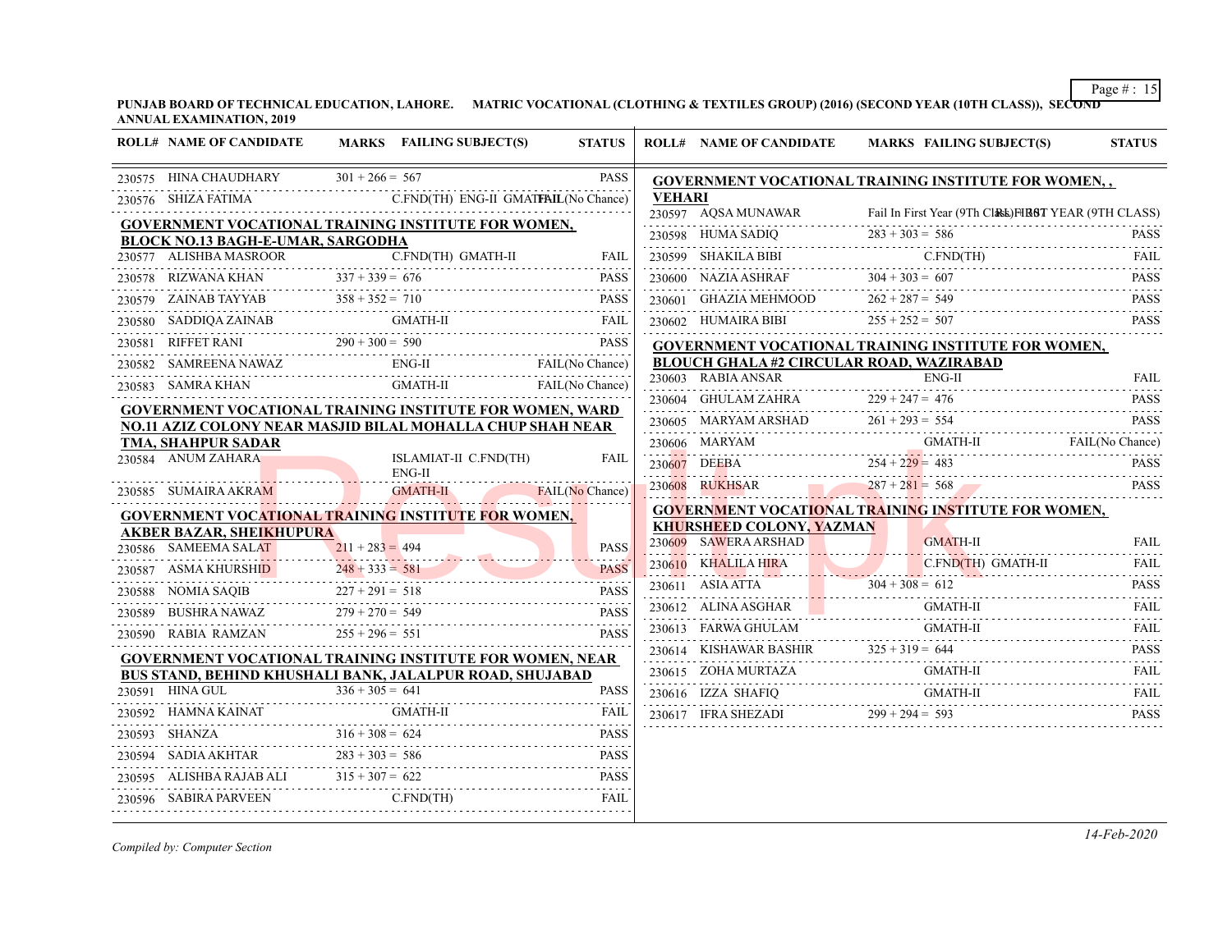**PUNJAB BOARD OF TECHNICAL EDUCATION, LAHORE. MATRIC VOCATIONAL (CLOTHING & TEXTILES GROUP) (2016) (SECOND YEAR (10TH CLASS)), SECOND ANNUAL EXAMINATION, 2019**

|        | <b>ROLL# NAME OF CANDIDATE</b>                                                                                                |                   | MARKS FAILING SUBJECT(S)                        | <b>STATUS</b>            |                                                             | <b>ROLL# NAME OF CANDIDATE</b>                                                                                   |                   | MARKS FAILING SUBJECT(S) | <b>STATUS</b>    |  |
|--------|-------------------------------------------------------------------------------------------------------------------------------|-------------------|-------------------------------------------------|--------------------------|-------------------------------------------------------------|------------------------------------------------------------------------------------------------------------------|-------------------|--------------------------|------------------|--|
|        | 230575 HINA CHAUDHARY $301 + 266 = 567$<br><b>PASS</b>                                                                        |                   |                                                 |                          | <b>GOVERNMENT VOCATIONAL TRAINING INSTITUTE FOR WOMEN,,</b> |                                                                                                                  |                   |                          |                  |  |
|        | 230576 SHIZA FATIMA                                                                                                           |                   | C.FND(TH) ENG-II GMATFAIL(No Chance)            |                          | <b>VEHARI</b>                                               |                                                                                                                  |                   |                          |                  |  |
|        | GOVERNMENT VOCATIONAL TRAINING INSTITUTE FOR WOMEN,                                                                           |                   |                                                 |                          |                                                             | 230597 AQSA MUNAWAR Fail In First Year (9Th CLASS) FIRST YEAR (9TH CLASS)<br>230598 HUMA SADIQ $283 + 303 = 586$ |                   |                          | <b>PASS</b>      |  |
|        | BLOCK NO.13 BAGH-E-UMAR, SARGODHA<br>230577 ALISHBA MASROOR                                                                   |                   | C.FND(TH) GMATH-II                              | FAIL                     |                                                             |                                                                                                                  |                   |                          | <b>FAIL</b>      |  |
|        | 230578 RIZWANA KHAN                                                                                                           | $337 + 339 = 676$ |                                                 | <b>PASS</b>              |                                                             | 230599 SHAKILA BIBI C.FND(TH)<br>230600 NAZIA ASHRAF $304 + 303 = 607$                                           |                   |                          | <b>PASS</b>      |  |
| 230579 | ZAINAB TAYYAB                                                                                                                 |                   |                                                 | <b>PASS</b>              |                                                             | 230601 GHAZIA MEHMOOD                                                                                            | $262 + 287 = 549$ |                          | <b>PASS</b>      |  |
|        |                                                                                                                               |                   | $IAB TAYYAB$ $358 + 352 = 710$ PASS<br>GMATH-II | FAIL                     |                                                             | 230602 HUMAIRA BIBI                                                                                              | $255 + 252 = 507$ |                          | <b>PASS</b>      |  |
|        | 230580 SADDIQA ZAINAB                                                                                                         |                   |                                                 |                          |                                                             |                                                                                                                  |                   |                          |                  |  |
|        | 230581 RIFFET RANI $290 + 300 = 590$ PASS<br>230582 SAMREENA NAWAZ ENG-II FAIL (No Chance<br>ENG-II FAIL(No Chance)           |                   |                                                 |                          |                                                             | <b>GOVERNMENT VOCATIONAL TRAINING INSTITUTE FOR WOMEN,</b><br><b>BLOUCH GHALA #2 CIRCULAR ROAD, WAZIRABAD</b>    |                   |                          |                  |  |
|        | 230583 SAMRA KHAN                                                                                                             |                   | <b>GMATH-II</b>                                 | FAIL(No Chance)          |                                                             | 230603 RABIA ANSAR<br>230603 RABIA ANSAR                                                                         |                   | ENG-II                   | <b>FAIL</b>      |  |
|        |                                                                                                                               |                   |                                                 |                          |                                                             | 230604 GHULAM ZAHRA $229 + 247 = 476$                                                                            |                   |                          | <b>PASS</b>      |  |
|        | <b>GOVERNMENT VOCATIONAL TRAINING INSTITUTE FOR WOMEN, WARD</b><br>NO.11 AZIZ COLONY NEAR MASJID BILAL MOHALLA CHUP SHAH NEAR |                   |                                                 |                          |                                                             | $261 + 293 = 554$<br>PARYAM ARSHAD<br>PASS                                                                       |                   |                          |                  |  |
|        | <b>TMA, SHAHPUR SADAR</b>                                                                                                     |                   |                                                 |                          |                                                             | 230606 MARYAM GMATH-II FAIL(No Chance)                                                                           |                   |                          |                  |  |
|        | 230584 ANUM ZAHARA                                                                                                            |                   | ISLAMIAT-II C.FND(TH)<br>$ENG-II$               | FAIL                     |                                                             | 230607 DEEBA 254 + 229 = 483<br>777 <u>771</u>                                                                   |                   |                          | <b>PASS</b>      |  |
|        | 230585 SUMAIRA AKRAM                                                                                                          |                   | A AKRAM GMATH-II FAIL (No Chance)               |                          |                                                             | $287 + 281 = 568$<br>$287 + 281 = 568$                                                                           |                   |                          | <b>PASS</b>      |  |
|        | GOVERNMENT VOCATIONAL TRAINING INSTITUTE FOR WOMEN,                                                                           |                   |                                                 |                          |                                                             | <b>GOVERNMENT VOCATIONAL TRAINING INSTITUTE FOR WOMEN,</b>                                                       |                   |                          |                  |  |
|        | <u>AKBER BAZAR, SHEIKHUPURA</u>                                                                                               |                   |                                                 |                          |                                                             | <b>KHURSHEED COLONY, YAZMAN</b>                                                                                  |                   |                          |                  |  |
|        | 230586 SAMEEMA SALAT                                                                                                          | $211 + 283 = 494$ |                                                 | <b>PASS</b>              |                                                             | 230609 SAWERA ARSHAD                                                                                             |                   | <b>GMATH-II</b>          | FAII.            |  |
|        | 230587 ASMA KHURSHI <mark>D</mark>                                                                                            | $248 + 333 = 581$ |                                                 | <b>PASS</b><br>بالأستراب |                                                             | 230610 KHALILA HIRA C.FND(TH) GMATH-II                                                                           |                   |                          | <b>FAIL</b><br>. |  |
|        | 230588 NOMIA SAQIB                                                                                                            | $227 + 291 = 518$ |                                                 | <b>PASS</b>              |                                                             | 230611 ASIA ATTA $304 + 308 = 612$ PASS                                                                          |                   |                          |                  |  |
|        | 230589 BUSHRA NAWAZ                                                                                                           | $279 + 270 = 549$ |                                                 | <b>PASS</b>              |                                                             | 230612 ALINA ASGHAR                                                                                              |                   |                          | <b>FAIL</b>      |  |
|        | 230590 RABIA RAMZAN                                                                                                           | $255 + 296 = 551$ |                                                 | <b>PASS</b>              |                                                             | 230613 FARWA GHULAM                                                                                              |                   | <b>GMATH-II</b>          | <b>FAIL</b>      |  |
|        | GOVERNMENT VOCATIONAL TRAINING INSTITUTE FOR WOMEN, NEAR                                                                      |                   |                                                 |                          |                                                             | 230614 KISHAWAR BASHIR $325 + 319 = 644$ PASS                                                                    |                   |                          |                  |  |
|        | BUS STAND, BEHIND KHUSHALI BANK, JALALPUR ROAD, SHUJABAD                                                                      |                   |                                                 |                          |                                                             |                                                                                                                  |                   |                          | <b>FAIL</b>      |  |
|        | 230591 HINA GUL                                                                                                               | $336 + 305 = 641$ |                                                 | <b>PASS</b>              |                                                             | ${\bf 230616} \quad {\bf IZZA} \text{ SHAFIQ} \qquad {\bf GMATH-II} \qquad {\bf FAIL}$                           |                   |                          |                  |  |
|        | 230592 HAMNA KAINAT GMATH-II FAIL                                                                                             |                   |                                                 |                          |                                                             | 230617 IFRA SHEZADI 299 + 294 = 593                                                                              |                   | $\frac{593}{1000}$       | <b>PASS</b>      |  |
|        | 0593 SHANZA $316 + 308 = 624$ PASS<br>230593 SHANZA                                                                           |                   |                                                 | <b>PASS</b>              |                                                             |                                                                                                                  |                   |                          |                  |  |
|        | 230594 SADIA AKHTAR $283 + 303 = 586$                                                                                         |                   |                                                 | <b>PASS</b>              |                                                             |                                                                                                                  |                   |                          |                  |  |
|        | 230595 ALISHBA RAJAB ALI $315 + 307 = 622$ PASS                                                                               |                   |                                                 | <b>PASS</b>              |                                                             |                                                                                                                  |                   |                          |                  |  |
|        | 6 SABIRA PARVEEN C.FND(TH) FAIL<br>230596 SABIRA PARVEEN                                                                      |                   |                                                 |                          |                                                             |                                                                                                                  |                   |                          |                  |  |
|        |                                                                                                                               |                   |                                                 |                          |                                                             |                                                                                                                  |                   |                          |                  |  |

*Compiled by: Computer Section*